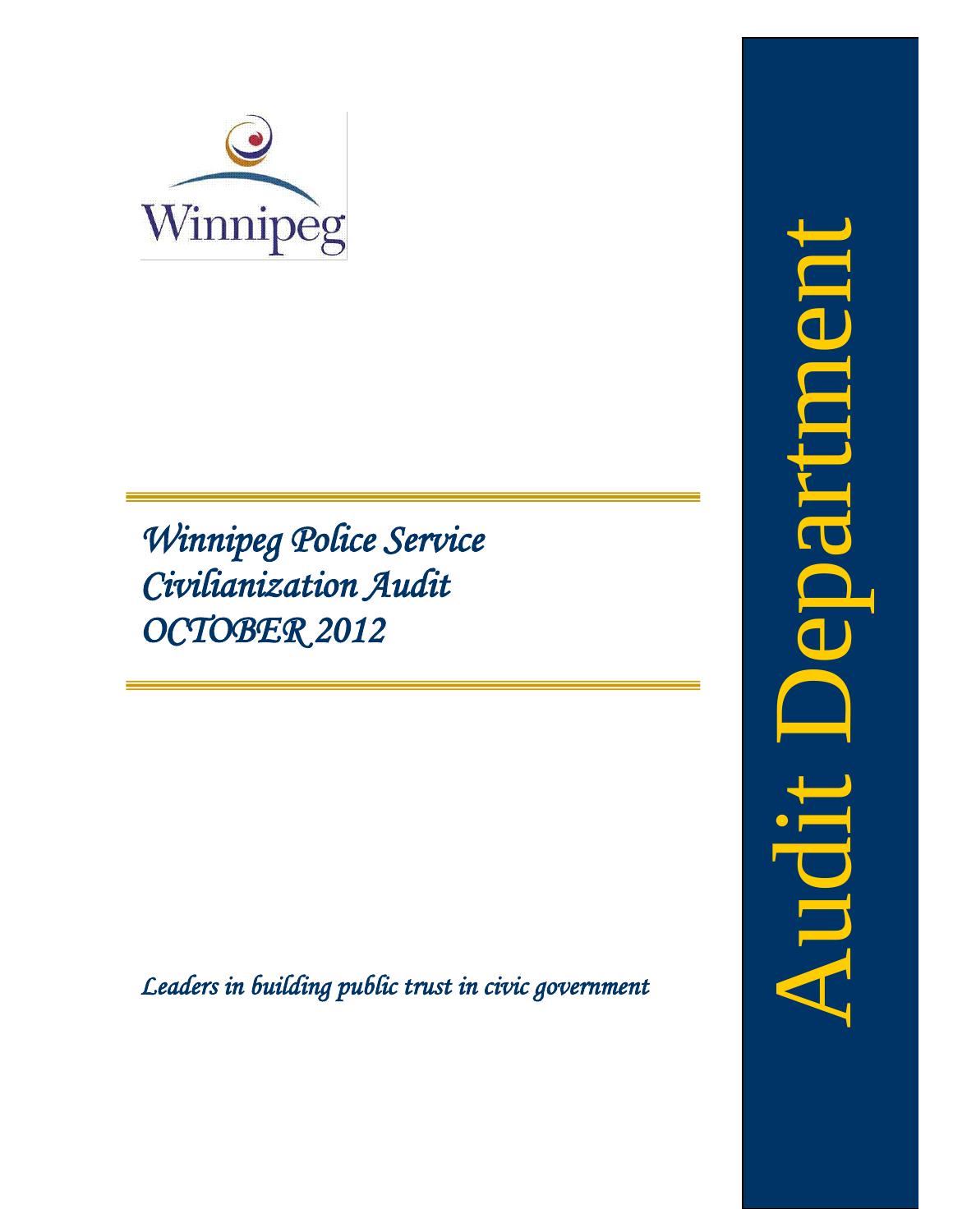

*Winnipeg Police Service Civilianization Audit OCTOBER 2012*

<span id="page-0-0"></span>*Leaders in building public trust in civic government* 

Audit Departmentepartnee hudit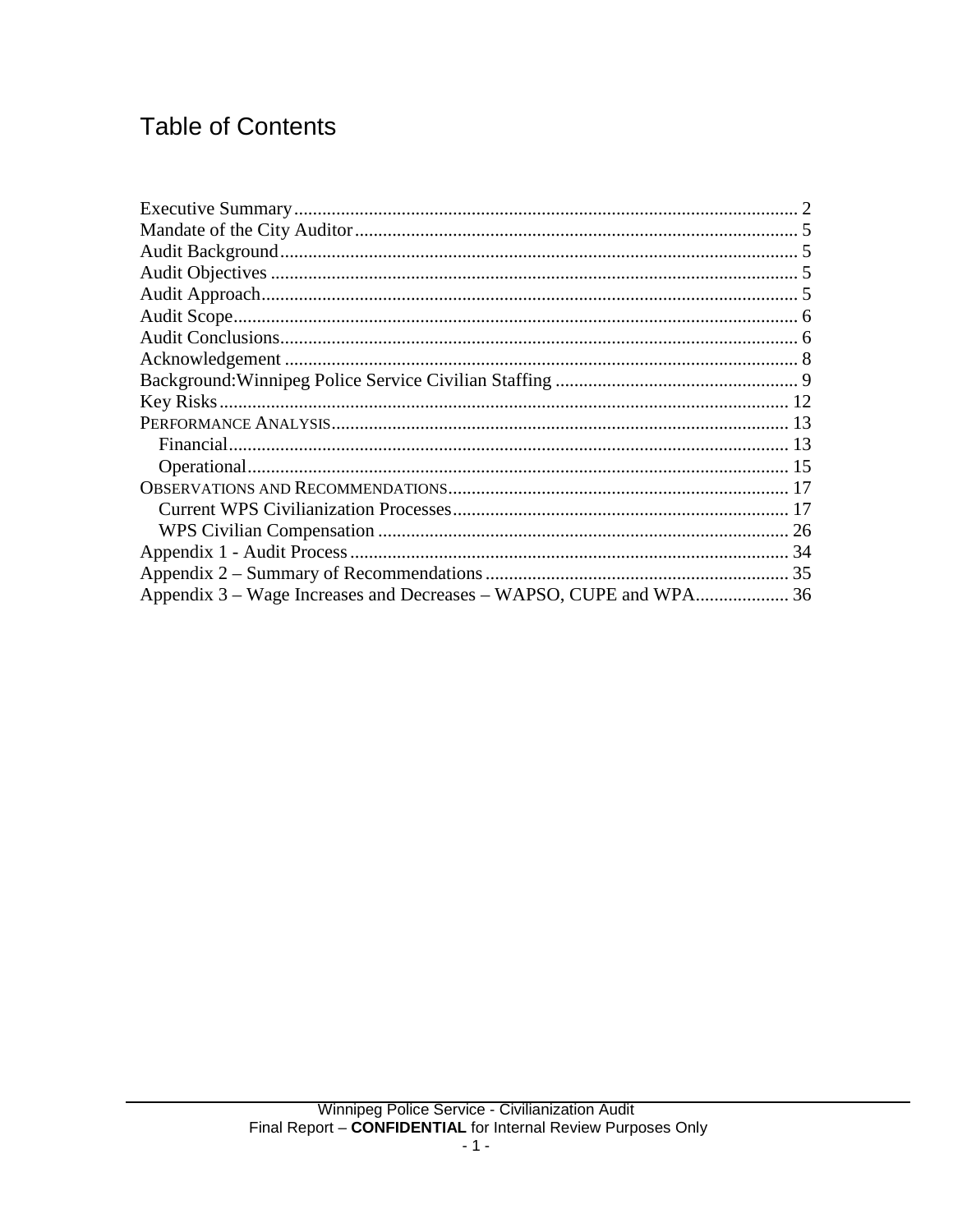# **Table of Contents**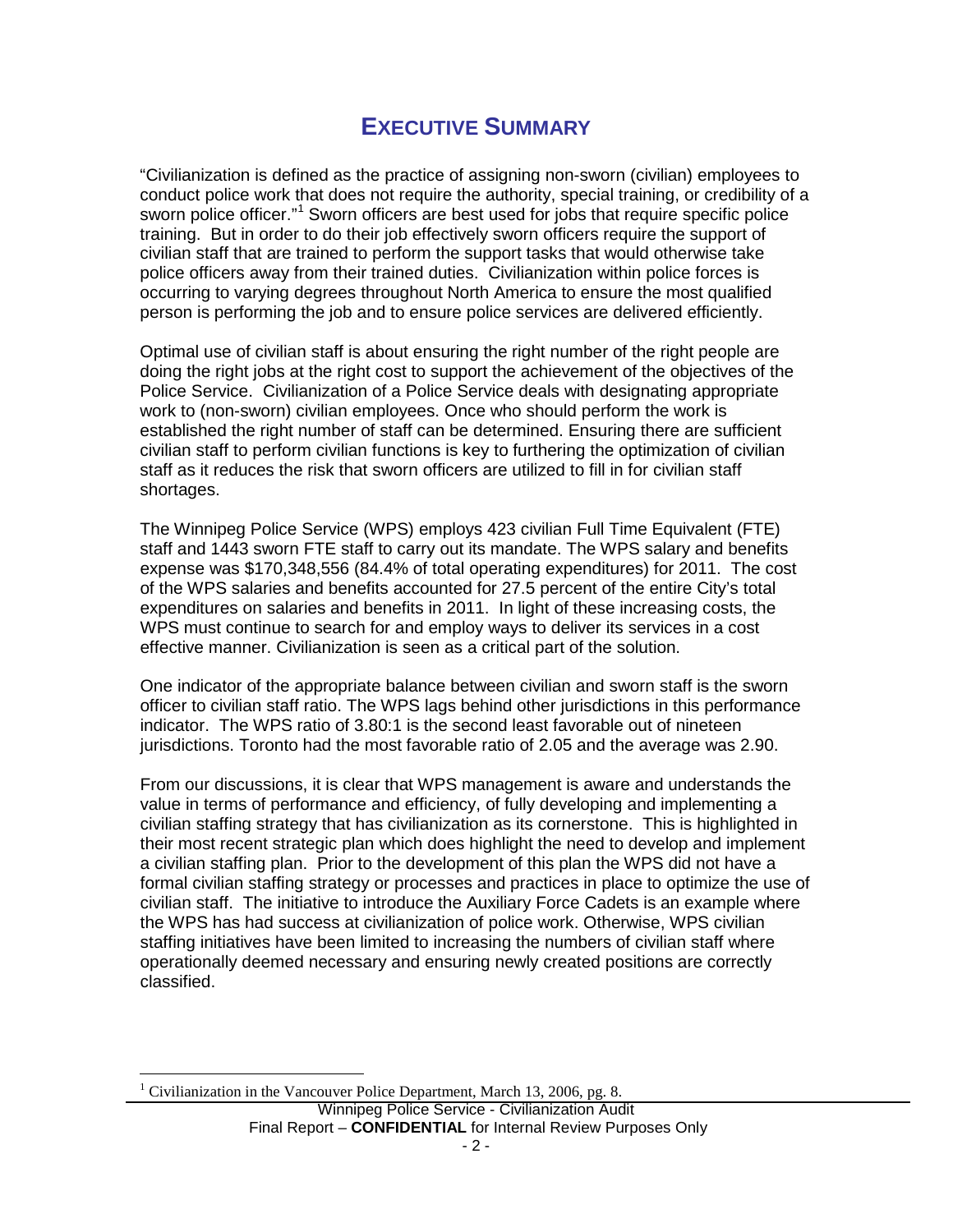## **EXECUTIVE SUMMARY**

<span id="page-3-0"></span>"Civilianization is defined as the practice of assigning non-sworn (civilian) employees to conduct police work that does not require the authority, special training, or credibility of a sworn police officer."<sup>[1](#page-0-0)</sup> Sworn officers are best used for jobs that require specific police training. But in order to do their job effectively sworn officers require the support of civilian staff that are trained to perform the support tasks that would otherwise take police officers away from their trained duties. Civilianization within police forces is occurring to varying degrees throughout North America to ensure the most qualified person is performing the job and to ensure police services are delivered efficiently.

Optimal use of civilian staff is about ensuring the right number of the right people are doing the right jobs at the right cost to support the achievement of the objectives of the Police Service. Civilianization of a Police Service deals with designating appropriate work to (non-sworn) civilian employees. Once who should perform the work is established the right number of staff can be determined. Ensuring there are sufficient civilian staff to perform civilian functions is key to furthering the optimization of civilian staff as it reduces the risk that sworn officers are utilized to fill in for civilian staff shortages.

The Winnipeg Police Service (WPS) employs 423 civilian Full Time Equivalent (FTE) staff and 1443 sworn FTE staff to carry out its mandate. The WPS salary and benefits expense was \$170,348,556 (84.4% of total operating expenditures) for 2011. The cost of the WPS salaries and benefits accounted for 27.5 percent of the entire City's total expenditures on salaries and benefits in 2011. In light of these increasing costs, the WPS must continue to search for and employ ways to deliver its services in a cost effective manner. Civilianization is seen as a critical part of the solution.

One indicator of the appropriate balance between civilian and sworn staff is the sworn officer to civilian staff ratio. The WPS lags behind other jurisdictions in this performance indicator. The WPS ratio of 3.80:1 is the second least favorable out of nineteen jurisdictions. Toronto had the most favorable ratio of 2.05 and the average was 2.90.

From our discussions, it is clear that WPS management is aware and understands the value in terms of performance and efficiency, of fully developing and implementing a civilian staffing strategy that has civilianization as its cornerstone. This is highlighted in their most recent strategic plan which does highlight the need to develop and implement a civilian staffing plan. Prior to the development of this plan the WPS did not have a formal civilian staffing strategy or processes and practices in place to optimize the use of civilian staff. The initiative to introduce the Auxiliary Force Cadets is an example where the WPS has had success at civilianization of police work. Otherwise, WPS civilian staffing initiatives have been limited to increasing the numbers of civilian staff where operationally deemed necessary and ensuring newly created positions are correctly classified.

<span id="page-3-1"></span>Winnipeg Police Service - Civilianization Audit Final Report – **CONFIDENTIAL** for Internal Review Purposes Only <sup>1</sup> Civilianization in the Vancouver Police Department, March 13, 2006, pg. 8.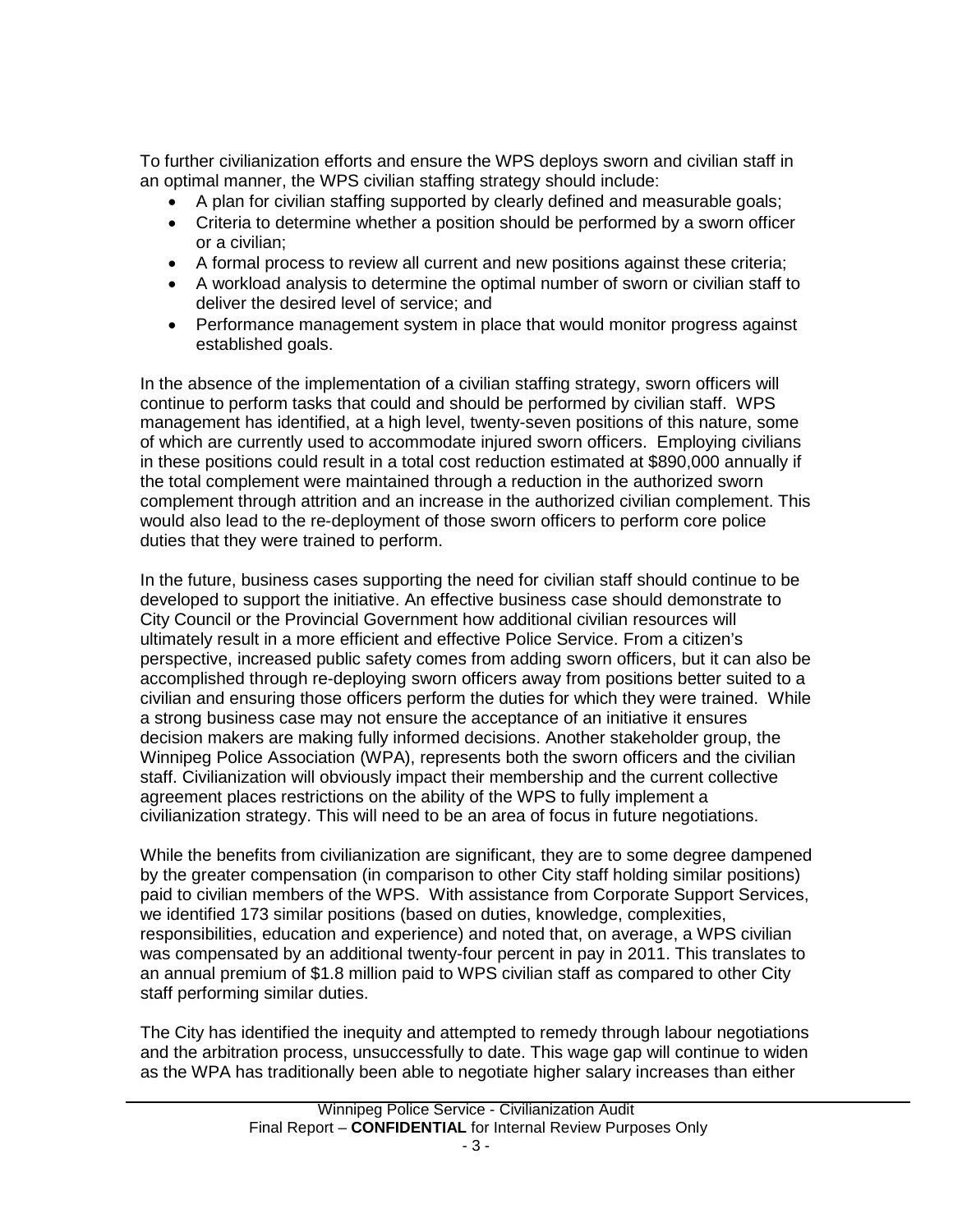To further civilianization efforts and ensure the WPS deploys sworn and civilian staff in an optimal manner, the WPS civilian staffing strategy should include:

- A plan for civilian staffing supported by clearly defined and measurable goals;
- Criteria to determine whether a position should be performed by a sworn officer or a civilian;
- A formal process to review all current and new positions against these criteria;
- A workload analysis to determine the optimal number of sworn or civilian staff to deliver the desired level of service; and
- Performance management system in place that would monitor progress against established goals.

In the absence of the implementation of a civilian staffing strategy, sworn officers will continue to perform tasks that could and should be performed by civilian staff. WPS management has identified, at a high level, twenty-seven positions of this nature, some of which are currently used to accommodate injured sworn officers. Employing civilians in these positions could result in a total cost reduction estimated at \$890,000 annually if the total complement were maintained through a reduction in the authorized sworn complement through attrition and an increase in the authorized civilian complement. This would also lead to the re-deployment of those sworn officers to perform core police duties that they were trained to perform.

In the future, business cases supporting the need for civilian staff should continue to be developed to support the initiative. An effective business case should demonstrate to City Council or the Provincial Government how additional civilian resources will ultimately result in a more efficient and effective Police Service. From a citizen's perspective, increased public safety comes from adding sworn officers, but it can also be accomplished through re-deploying sworn officers away from positions better suited to a civilian and ensuring those officers perform the duties for which they were trained. While a strong business case may not ensure the acceptance of an initiative it ensures decision makers are making fully informed decisions. Another stakeholder group, the Winnipeg Police Association (WPA), represents both the sworn officers and the civilian staff. Civilianization will obviously impact their membership and the current collective agreement places restrictions on the ability of the WPS to fully implement a civilianization strategy. This will need to be an area of focus in future negotiations.

While the benefits from civilianization are significant, they are to some degree dampened by the greater compensation (in comparison to other City staff holding similar positions) paid to civilian members of the WPS. With assistance from Corporate Support Services, we identified 173 similar positions (based on duties, knowledge, complexities, responsibilities, education and experience) and noted that, on average, a WPS civilian was compensated by an additional twenty-four percent in pay in 2011. This translates to an annual premium of \$1.8 million paid to WPS civilian staff as compared to other City staff performing similar duties.

The City has identified the inequity and attempted to remedy through labour negotiations and the arbitration process, unsuccessfully to date. This wage gap will continue to widen as the WPA has traditionally been able to negotiate higher salary increases than either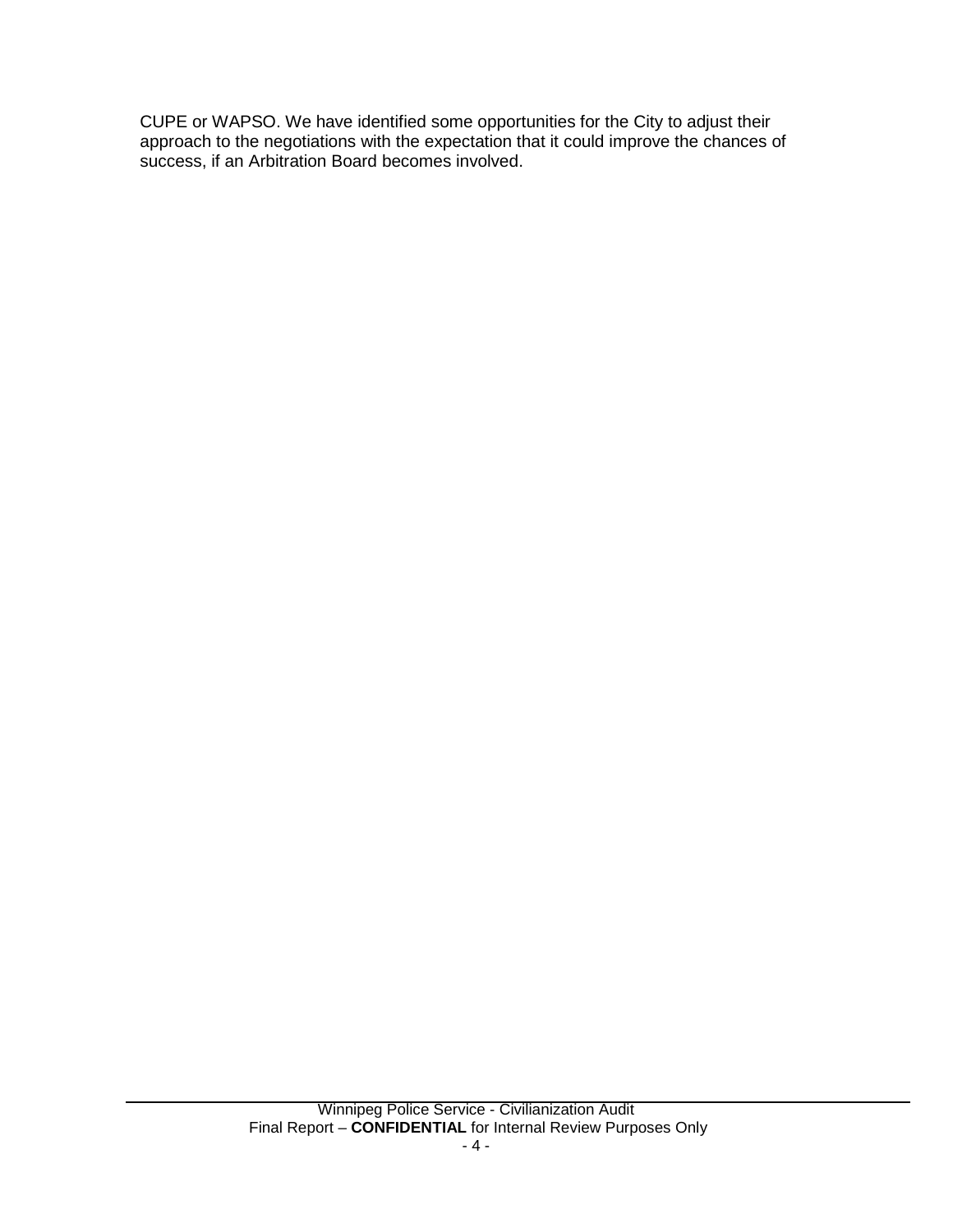CUPE or WAPSO. We have identified some opportunities for the City to adjust their approach to the negotiations with the expectation that it could improve the chances of success, if an Arbitration Board becomes involved.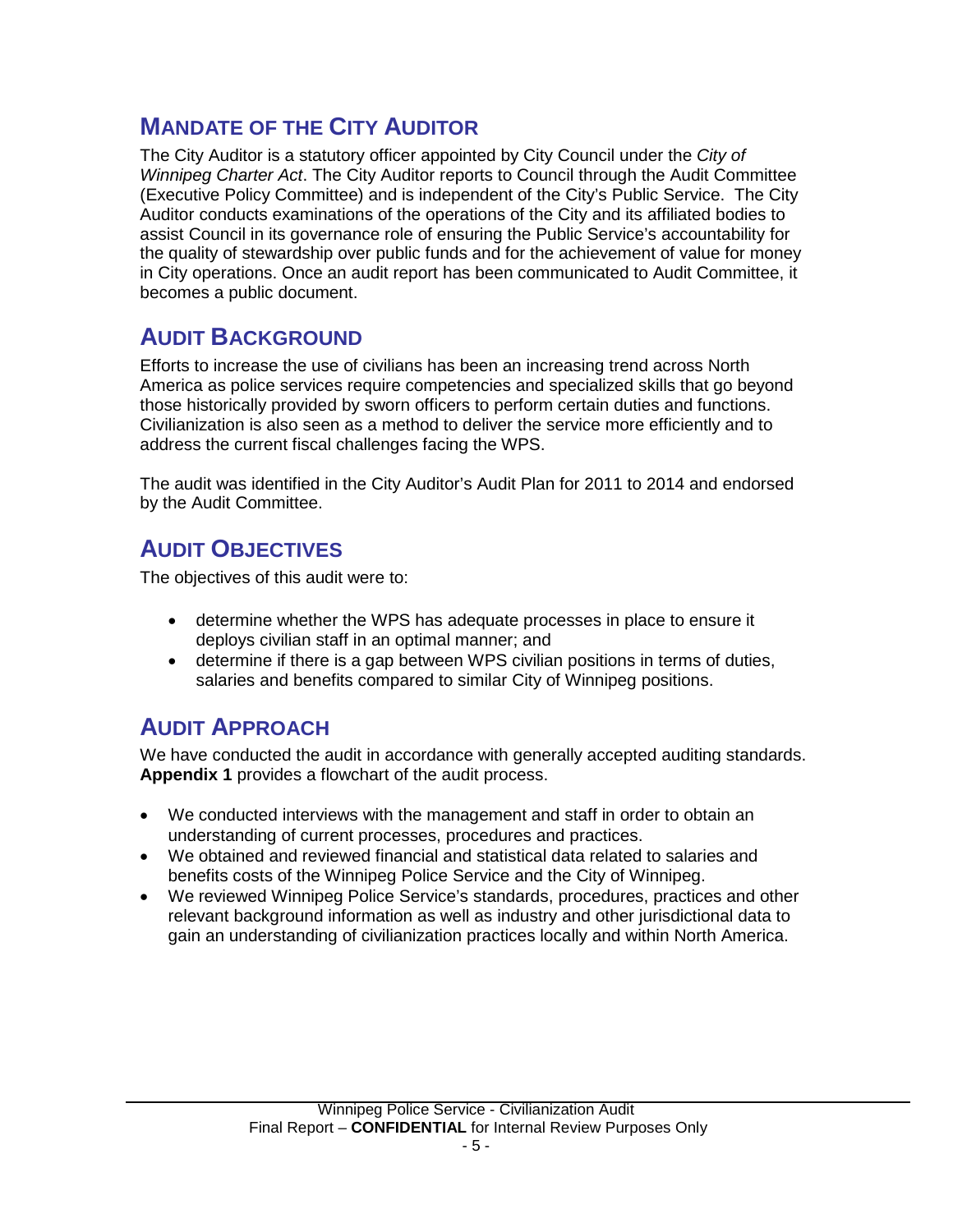## <span id="page-6-0"></span>**MANDATE OF THE CITY AUDITOR**

The City Auditor is a statutory officer appointed by City Council under the *City of Winnipeg Charter Act*. The City Auditor reports to Council through the Audit Committee (Executive Policy Committee) and is independent of the City's Public Service. The City Auditor conducts examinations of the operations of the City and its affiliated bodies to assist Council in its governance role of ensuring the Public Service's accountability for the quality of stewardship over public funds and for the achievement of value for money in City operations. Once an audit report has been communicated to Audit Committee, it becomes a public document.

## <span id="page-6-1"></span>**AUDIT BACKGROUND**

Efforts to increase the use of civilians has been an increasing trend across North America as police services require competencies and specialized skills that go beyond those historically provided by sworn officers to perform certain duties and functions. Civilianization is also seen as a method to deliver the service more efficiently and to address the current fiscal challenges facing the WPS.

The audit was identified in the City Auditor's Audit Plan for 2011 to 2014 and endorsed by the Audit Committee.

## <span id="page-6-2"></span>**AUDIT OBJECTIVES**

The objectives of this audit were to:

- determine whether the WPS has adequate processes in place to ensure it deploys civilian staff in an optimal manner; and
- determine if there is a gap between WPS civilian positions in terms of duties, salaries and benefits compared to similar City of Winnipeg positions.

# <span id="page-6-3"></span>**AUDIT APPROACH**

We have conducted the audit in accordance with generally accepted auditing standards. **Appendix 1** provides a flowchart of the audit process.

- We conducted interviews with the management and staff in order to obtain an understanding of current processes, procedures and practices.
- We obtained and reviewed financial and statistical data related to salaries and benefits costs of the Winnipeg Police Service and the City of Winnipeg.
- We reviewed Winnipeg Police Service's standards, procedures, practices and other relevant background information as well as industry and other jurisdictional data to gain an understanding of civilianization practices locally and within North America.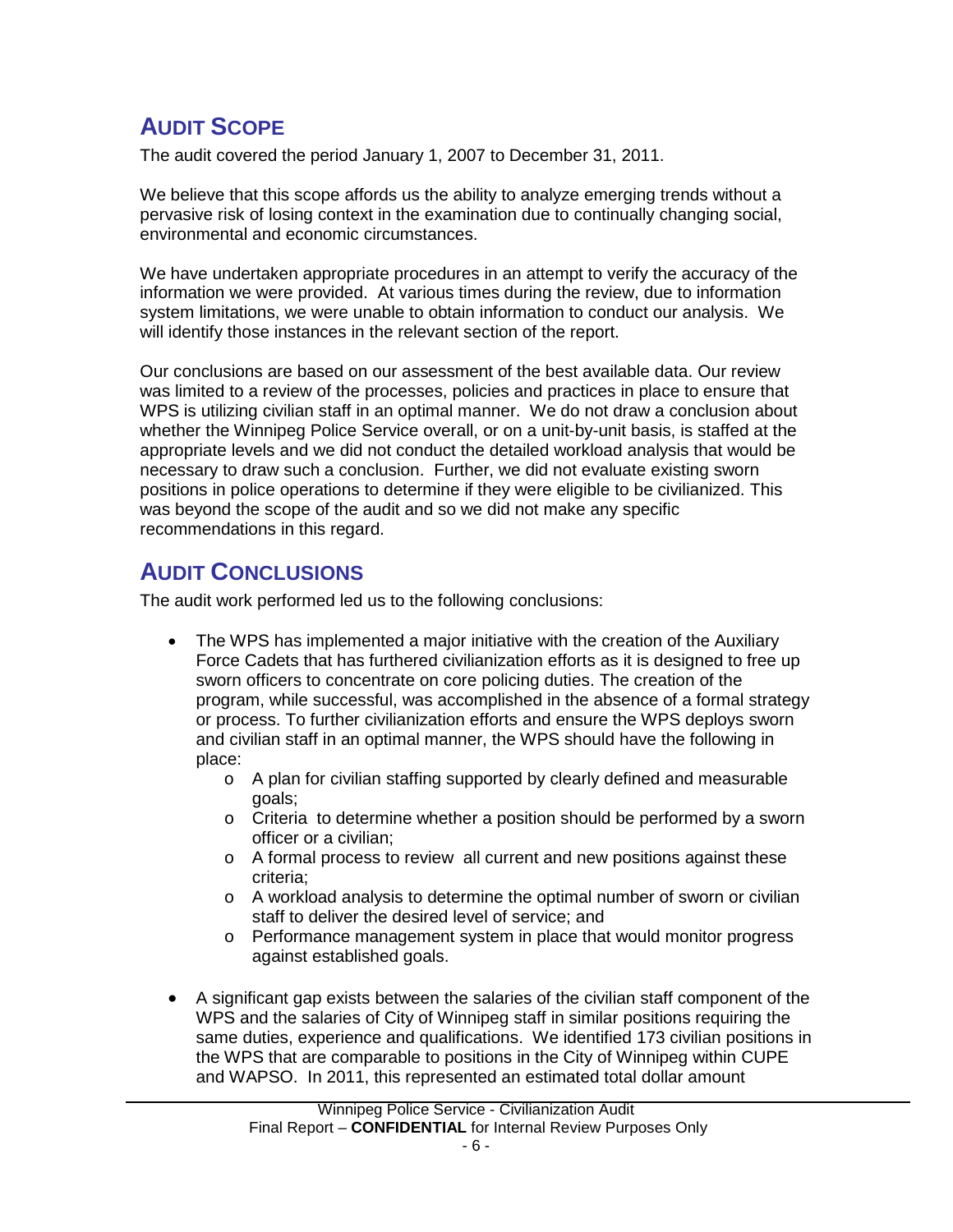# <span id="page-7-0"></span>**AUDIT SCOPE**

The audit covered the period January 1, 2007 to December 31, 2011.

We believe that this scope affords us the ability to analyze emerging trends without a pervasive risk of losing context in the examination due to continually changing social, environmental and economic circumstances.

We have undertaken appropriate procedures in an attempt to verify the accuracy of the information we were provided. At various times during the review, due to information system limitations, we were unable to obtain information to conduct our analysis. We will identify those instances in the relevant section of the report.

Our conclusions are based on our assessment of the best available data. Our review was limited to a review of the processes, policies and practices in place to ensure that WPS is utilizing civilian staff in an optimal manner. We do not draw a conclusion about whether the Winnipeg Police Service overall, or on a unit-by-unit basis, is staffed at the appropriate levels and we did not conduct the detailed workload analysis that would be necessary to draw such a conclusion. Further, we did not evaluate existing sworn positions in police operations to determine if they were eligible to be civilianized. This was beyond the scope of the audit and so we did not make any specific recommendations in this regard.

## <span id="page-7-1"></span>**AUDIT CONCLUSIONS**

The audit work performed led us to the following conclusions:

- The WPS has implemented a major initiative with the creation of the Auxiliary Force Cadets that has furthered civilianization efforts as it is designed to free up sworn officers to concentrate on core policing duties. The creation of the program, while successful, was accomplished in the absence of a formal strategy or process. To further civilianization efforts and ensure the WPS deploys sworn and civilian staff in an optimal manner, the WPS should have the following in place:
	- o A plan for civilian staffing supported by clearly defined and measurable goals;
	- $\circ$  Criteria to determine whether a position should be performed by a sworn officer or a civilian;
	- o A formal process to review all current and new positions against these criteria;
	- o A workload analysis to determine the optimal number of sworn or civilian staff to deliver the desired level of service; and
	- o Performance management system in place that would monitor progress against established goals.
- A significant gap exists between the salaries of the civilian staff component of the WPS and the salaries of City of Winnipeg staff in similar positions requiring the same duties, experience and qualifications. We identified 173 civilian positions in the WPS that are comparable to positions in the City of Winnipeg within CUPE and WAPSO. In 2011, this represented an estimated total dollar amount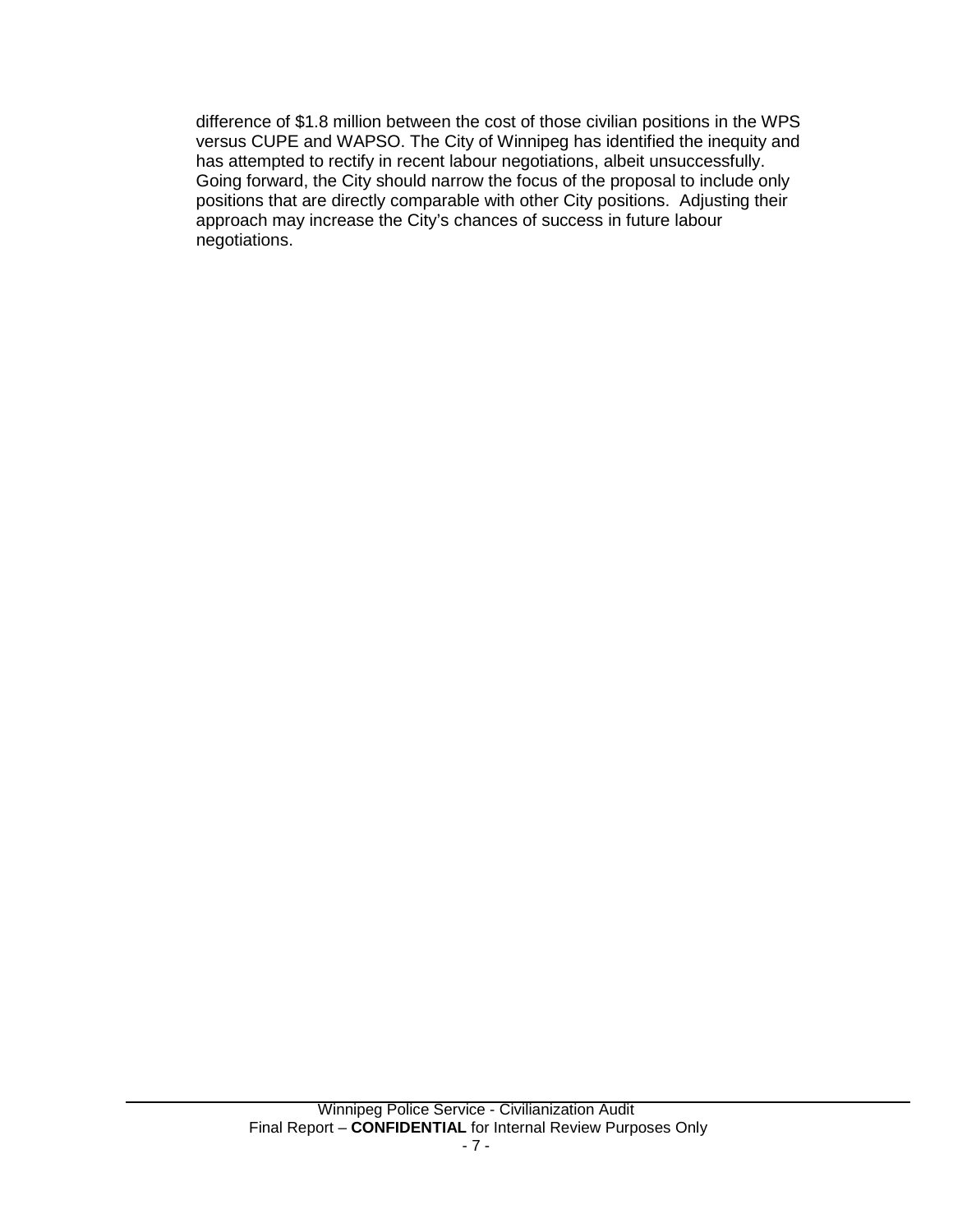difference of \$1.8 million between the cost of those civilian positions in the WPS versus CUPE and WAPSO. The City of Winnipeg has identified the inequity and has attempted to rectify in recent labour negotiations, albeit unsuccessfully. Going forward, the City should narrow the focus of the proposal to include only positions that are directly comparable with other City positions. Adjusting their approach may increase the City's chances of success in future labour negotiations.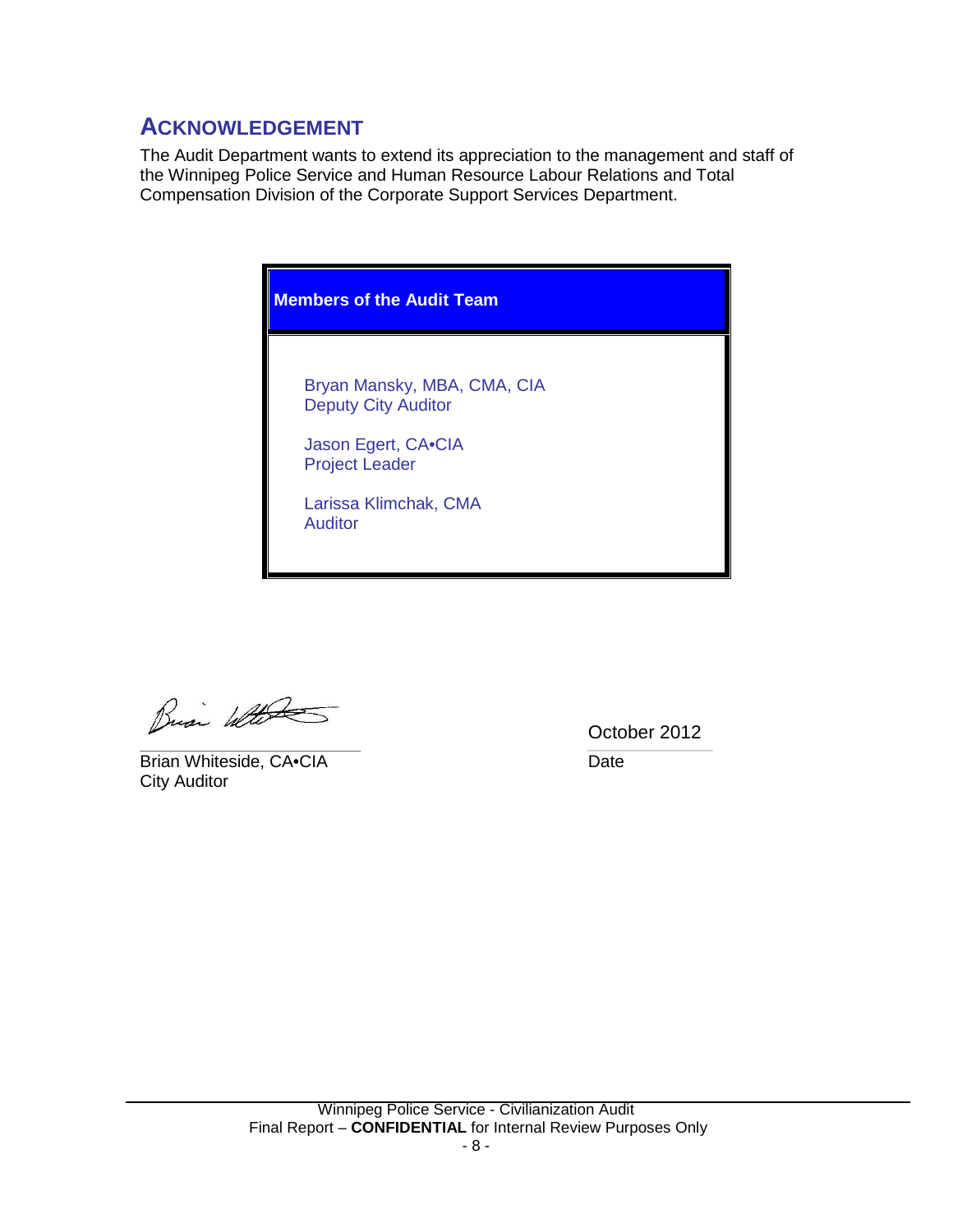## <span id="page-9-0"></span>**ACKNOWLEDGEMENT**

The Audit Department wants to extend its appreciation to the management and staff of the Winnipeg Police Service and Human Resource Labour Relations and Total Compensation Division of the Corporate Support Services Department.



Busi Water

\_\_\_\_\_\_\_\_\_\_\_\_\_\_\_\_\_\_\_\_\_\_\_\_\_\_\_\_\_\_\_\_\_\_\_\_\_\_\_\_\_\_\_\_\_\_\_\_\_\_\_ *\_\_\_\_\_\_\_\_\_\_\_\_\_\_\_\_\_\_\_\_\_\_\_\_\_\_\_\_\_* Brian Whiteside, CA•CIA Date City Auditor

October 2012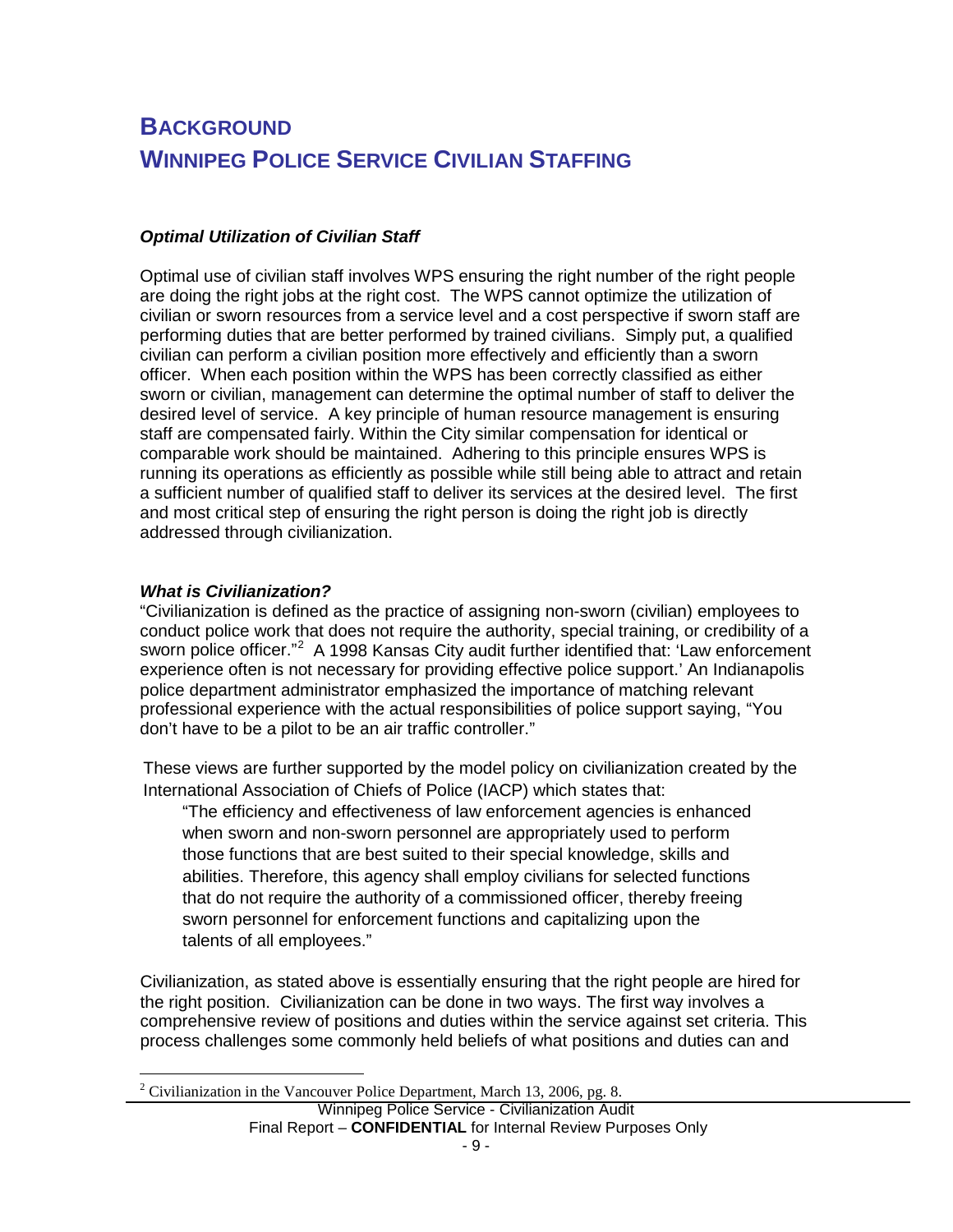# <span id="page-10-0"></span>**BACKGROUND WINNIPEG POLICE SERVICE CIVILIAN STAFFING**

## *Optimal Utilization of Civilian Staff*

Optimal use of civilian staff involves WPS ensuring the right number of the right people are doing the right jobs at the right cost. The WPS cannot optimize the utilization of civilian or sworn resources from a service level and a cost perspective if sworn staff are performing duties that are better performed by trained civilians. Simply put, a qualified civilian can perform a civilian position more effectively and efficiently than a sworn officer. When each position within the WPS has been correctly classified as either sworn or civilian, management can determine the optimal number of staff to deliver the desired level of service. A key principle of human resource management is ensuring staff are compensated fairly. Within the City similar compensation for identical or comparable work should be maintained. Adhering to this principle ensures WPS is running its operations as efficiently as possible while still being able to attract and retain a sufficient number of qualified staff to deliver its services at the desired level. The first and most critical step of ensuring the right person is doing the right job is directly addressed through civilianization.

## *What is Civilianization?*

"Civilianization is defined as the practice of assigning non-sworn (civilian) employees to conduct police work that does not require the authority, special training, or credibility of a sworn police officer."<sup>[2](#page-3-1)</sup> A 1998 Kansas City audit further identified that: 'Law enforcement experience often is not necessary for providing effective police support.' An Indianapolis police department administrator emphasized the importance of matching relevant professional experience with the actual responsibilities of police support saying, "You don't have to be a pilot to be an air traffic controller."

These views are further supported by the model policy on civilianization created by the International Association of Chiefs of Police (IACP) which states that:

"The efficiency and effectiveness of law enforcement agencies is enhanced when sworn and non-sworn personnel are appropriately used to perform those functions that are best suited to their special knowledge, skills and abilities. Therefore, this agency shall employ civilians for selected functions that do not require the authority of a commissioned officer, thereby freeing sworn personnel for enforcement functions and capitalizing upon the talents of all employees."

Civilianization, as stated above is essentially ensuring that the right people are hired for the right position. Civilianization can be done in two ways. The first way involves a comprehensive review of positions and duties within the service against set criteria. This process challenges some commonly held beliefs of what positions and duties can and

<span id="page-10-1"></span><sup>&</sup>lt;sup>2</sup> Civilianization in the Vancouver Police Department, March 13, 2006, pg. 8.

Winnipeg Police Service - Civilianization Audit Final Report – **CONFIDENTIAL** for Internal Review Purposes Only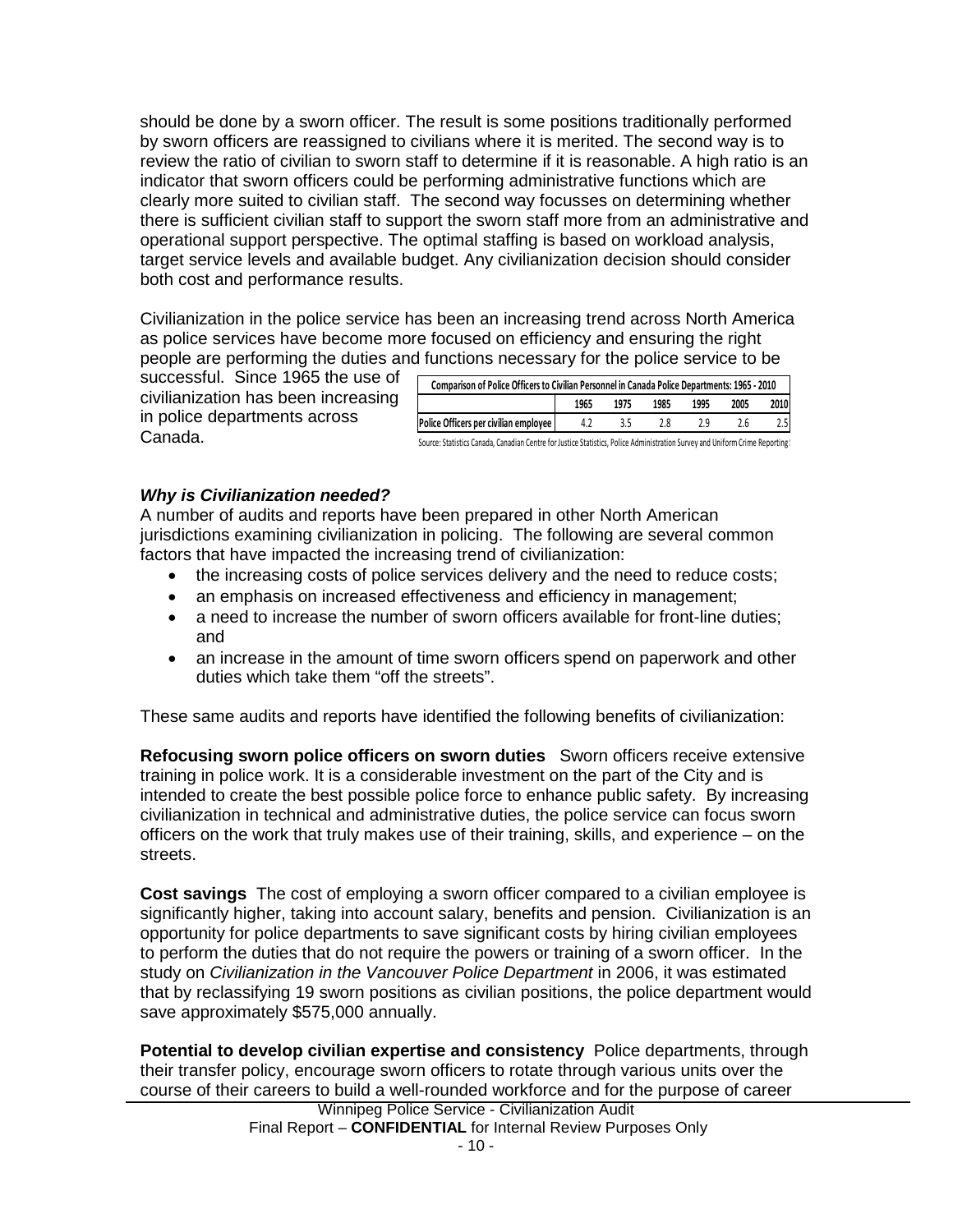should be done by a sworn officer. The result is some positions traditionally performed by sworn officers are reassigned to civilians where it is merited. The second way is to review the ratio of civilian to sworn staff to determine if it is reasonable. A high ratio is an indicator that sworn officers could be performing administrative functions which are clearly more suited to civilian staff. The second way focusses on determining whether there is sufficient civilian staff to support the sworn staff more from an administrative and operational support perspective. The optimal staffing is based on workload analysis, target service levels and available budget. Any civilianization decision should consider both cost and performance results.

Civilianization in the police service has been an increasing trend across North America as police services have become more focused on efficiency and ensuring the right people are performing the duties and functions necessary for the police service to be

successful. Since 1965 the use of civilianization has been increasing in police departments across Canada.

| Comparison of Police Officers to Civilian Personnel in Canada Police Departments: 1965 - 2010 |     |  |  |  |  |  |  |  |  |
|-----------------------------------------------------------------------------------------------|-----|--|--|--|--|--|--|--|--|
| 2010<br>2005<br>1965<br>1985<br>1995<br>1975                                                  |     |  |  |  |  |  |  |  |  |
| Police Officers per civilian employee                                                         | 4.2 |  |  |  |  |  |  |  |  |

Source: Statistics Canada, Canadian Centre for Justice Statistics, Police Administration Survey and Uniform Crime Reporting!

## *Why is Civilianization needed?*

A number of audits and reports have been prepared in other North American jurisdictions examining civilianization in policing. The following are several common factors that have impacted the increasing trend of civilianization:

- the increasing costs of police services delivery and the need to reduce costs;
- an emphasis on increased effectiveness and efficiency in management;
- a need to increase the number of sworn officers available for front-line duties; and
- an increase in the amount of time sworn officers spend on paperwork and other duties which take them "off the streets".

These same audits and reports have identified the following benefits of civilianization:

**Refocusing sworn police officers on sworn duties** Sworn officers receive extensive training in police work. It is a considerable investment on the part of the City and is intended to create the best possible police force to enhance public safety. By increasing civilianization in technical and administrative duties, the police service can focus sworn officers on the work that truly makes use of their training, skills, and experience – on the streets.

**Cost savings** The cost of employing a sworn officer compared to a civilian employee is significantly higher, taking into account salary, benefits and pension. Civilianization is an opportunity for police departments to save significant costs by hiring civilian employees to perform the duties that do not require the powers or training of a sworn officer. In the study on *Civilianization in the Vancouver Police Department* in 2006, it was estimated that by reclassifying 19 sworn positions as civilian positions, the police department would save approximately \$575,000 annually.

**Potential to develop civilian expertise and consistency** Police departments, through their transfer policy, encourage sworn officers to rotate through various units over the course of their careers to build a well-rounded workforce and for the purpose of career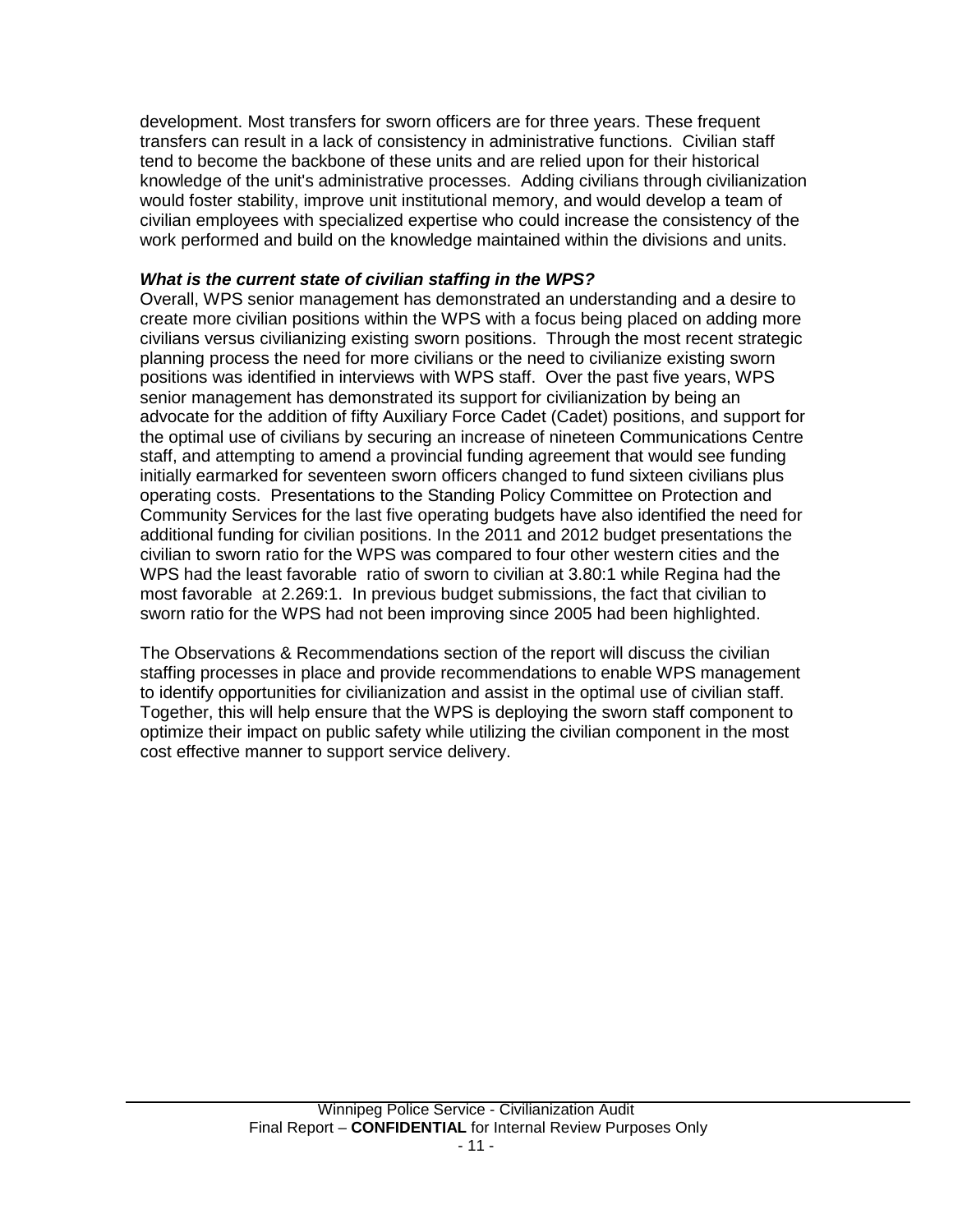development. Most transfers for sworn officers are for three years. These frequent transfers can result in a lack of consistency in administrative functions. Civilian staff tend to become the backbone of these units and are relied upon for their historical knowledge of the unit's administrative processes. Adding civilians through civilianization would foster stability, improve unit institutional memory, and would develop a team of civilian employees with specialized expertise who could increase the consistency of the work performed and build on the knowledge maintained within the divisions and units.

## *What is the current state of civilian staffing in the WPS?*

Overall, WPS senior management has demonstrated an understanding and a desire to create more civilian positions within the WPS with a focus being placed on adding more civilians versus civilianizing existing sworn positions. Through the most recent strategic planning process the need for more civilians or the need to civilianize existing sworn positions was identified in interviews with WPS staff. Over the past five years, WPS senior management has demonstrated its support for civilianization by being an advocate for the addition of fifty Auxiliary Force Cadet (Cadet) positions, and support for the optimal use of civilians by securing an increase of nineteen Communications Centre staff, and attempting to amend a provincial funding agreement that would see funding initially earmarked for seventeen sworn officers changed to fund sixteen civilians plus operating costs. Presentations to the Standing Policy Committee on Protection and Community Services for the last five operating budgets have also identified the need for additional funding for civilian positions. In the 2011 and 2012 budget presentations the civilian to sworn ratio for the WPS was compared to four other western cities and the WPS had the least favorable ratio of sworn to civilian at 3.80:1 while Regina had the most favorable at 2.269:1. In previous budget submissions, the fact that civilian to sworn ratio for the WPS had not been improving since 2005 had been highlighted.

The Observations & Recommendations section of the report will discuss the civilian staffing processes in place and provide recommendations to enable WPS management to identify opportunities for civilianization and assist in the optimal use of civilian staff. Together, this will help ensure that the WPS is deploying the sworn staff component to optimize their impact on public safety while utilizing the civilian component in the most cost effective manner to support service delivery.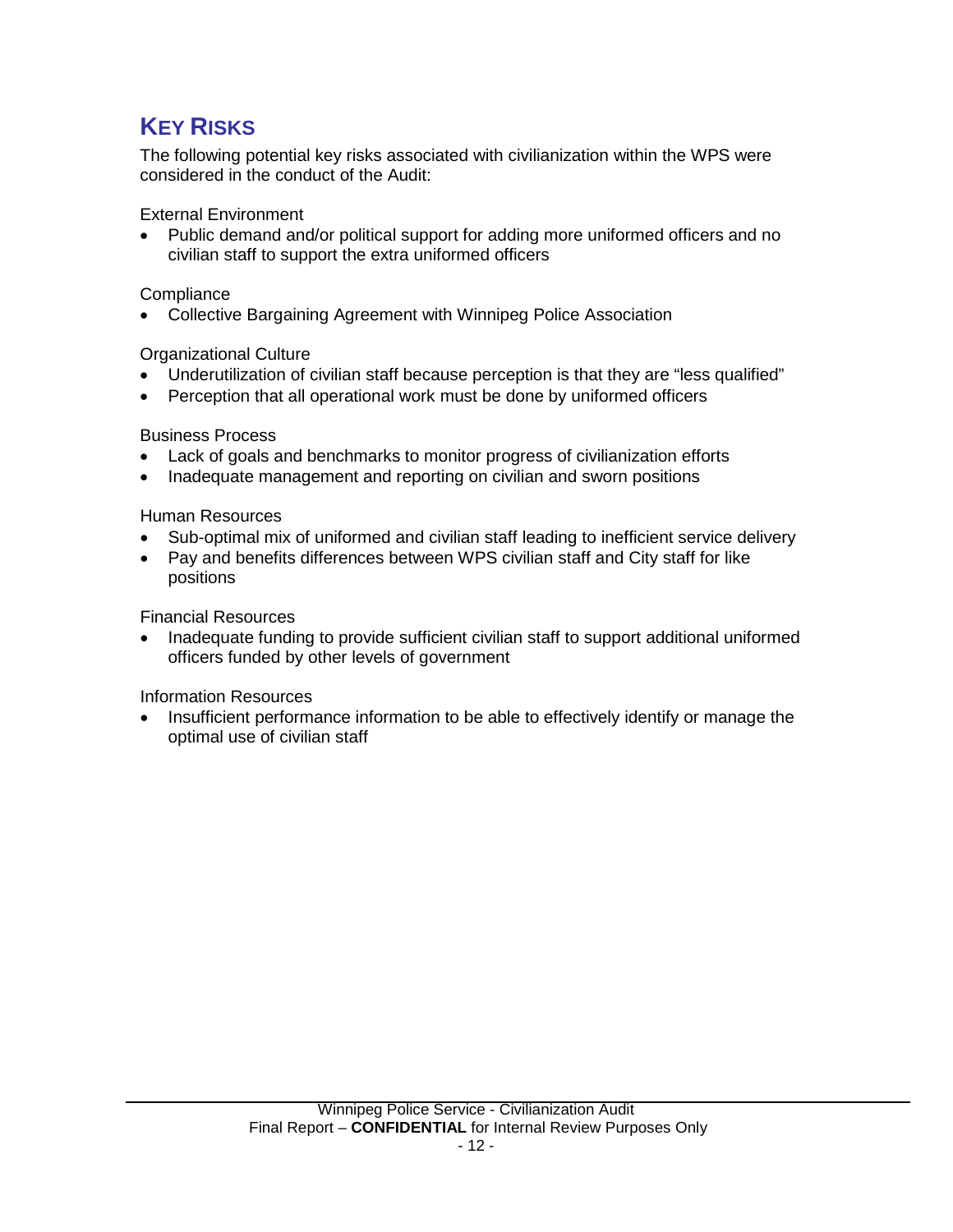# <span id="page-13-0"></span>**KEY RISKS**

The following potential key risks associated with civilianization within the WPS were considered in the conduct of the Audit:

External Environment

• Public demand and/or political support for adding more uniformed officers and no civilian staff to support the extra uniformed officers

## **Compliance**

• Collective Bargaining Agreement with Winnipeg Police Association

## Organizational Culture

- Underutilization of civilian staff because perception is that they are "less qualified"
- Perception that all operational work must be done by uniformed officers

Business Process

- Lack of goals and benchmarks to monitor progress of civilianization efforts
- Inadequate management and reporting on civilian and sworn positions

Human Resources

- Sub-optimal mix of uniformed and civilian staff leading to inefficient service delivery
- Pay and benefits differences between WPS civilian staff and City staff for like positions

Financial Resources

• Inadequate funding to provide sufficient civilian staff to support additional uniformed officers funded by other levels of government

Information Resources

• Insufficient performance information to be able to effectively identify or manage the optimal use of civilian staff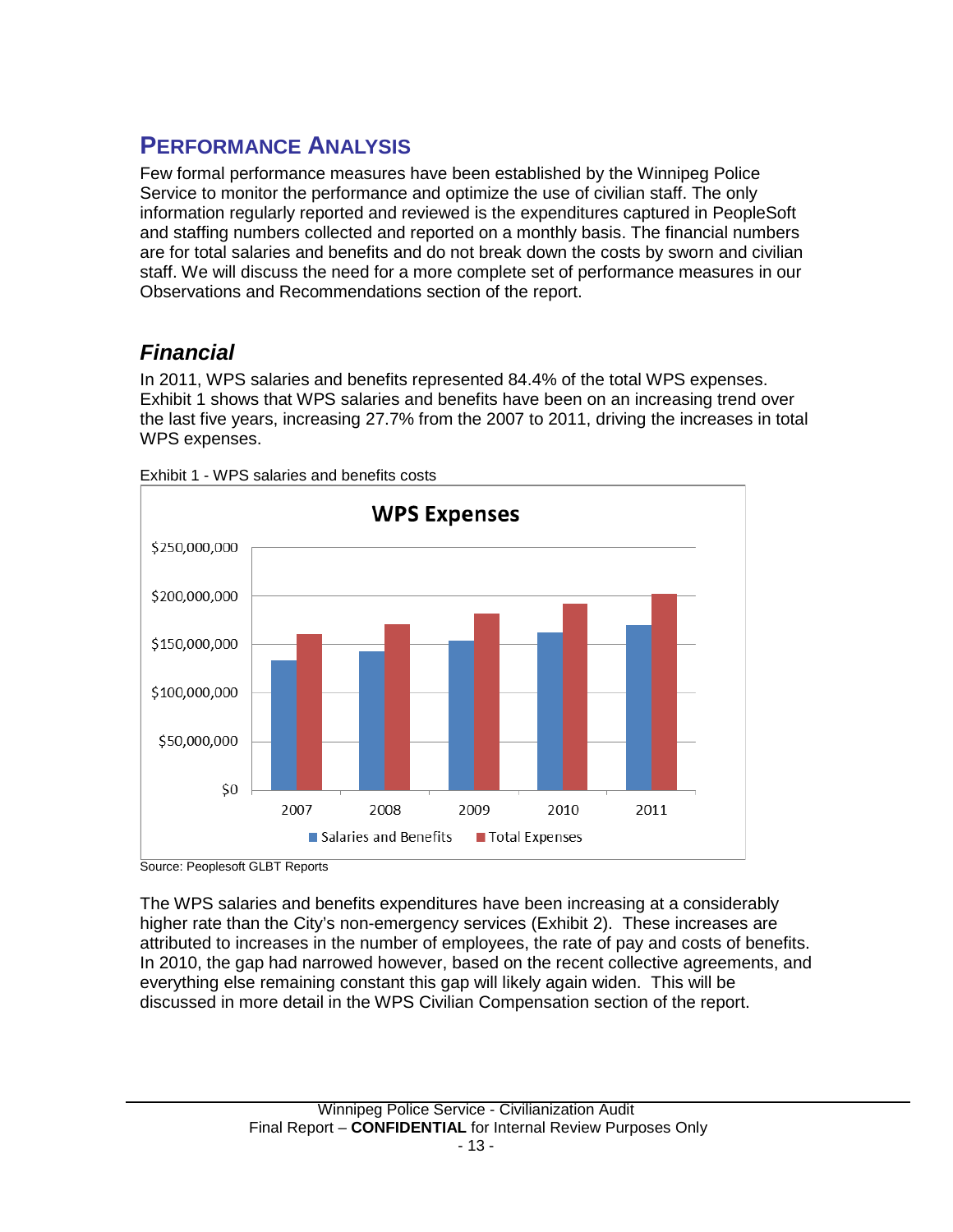# <span id="page-14-0"></span>**PERFORMANCE ANALYSIS**

Few formal performance measures have been established by the Winnipeg Police Service to monitor the performance and optimize the use of civilian staff. The only information regularly reported and reviewed is the expenditures captured in PeopleSoft and staffing numbers collected and reported on a monthly basis. The financial numbers are for total salaries and benefits and do not break down the costs by sworn and civilian staff. We will discuss the need for a more complete set of performance measures in our Observations and Recommendations section of the report.

## <span id="page-14-1"></span>*Financial*

In 2011, WPS salaries and benefits represented 84.4% of the total WPS expenses. Exhibit 1 shows that WPS salaries and benefits have been on an increasing trend over the last five years, increasing 27.7% from the 2007 to 2011, driving the increases in total WPS expenses.



Exhibit 1 - WPS salaries and benefits costs

The WPS salaries and benefits expenditures have been increasing at a considerably higher rate than the City's non-emergency services (Exhibit 2). These increases are attributed to increases in the number of employees, the rate of pay and costs of benefits. In 2010, the gap had narrowed however, based on the recent collective agreements, and everything else remaining constant this gap will likely again widen. This will be discussed in more detail in the WPS Civilian Compensation section of the report.

Source: Peoplesoft GLBT Reports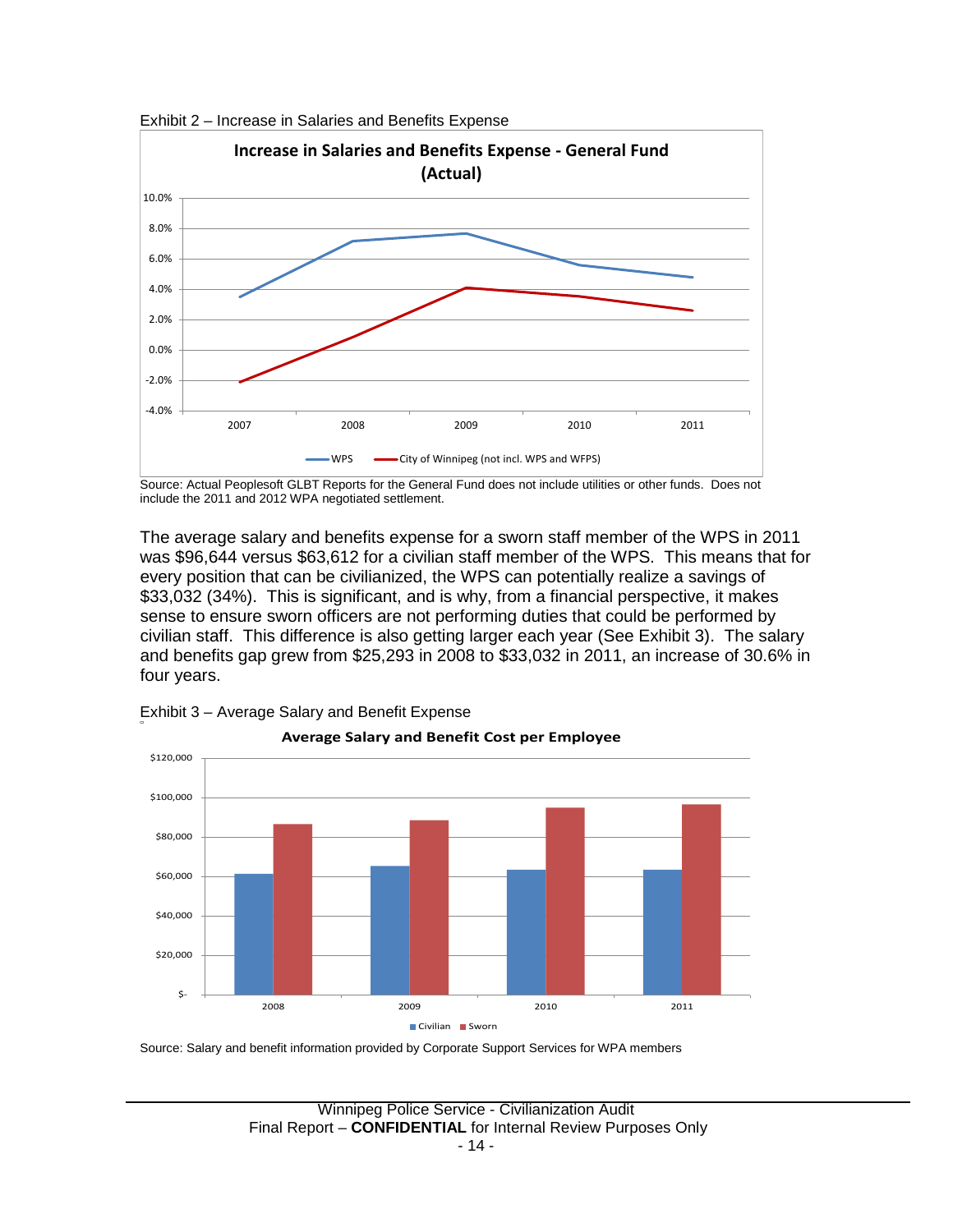

Exhibit 2 – Increase in Salaries and Benefits Expense

Source: Actual Peoplesoft GLBT Reports for the General Fund does not include utilities or other funds. Does not include the 2011 and 2012 WPA negotiated settlement.

The average salary and benefits expense for a sworn staff member of the WPS in 2011 was \$96,644 versus \$63,612 for a civilian staff member of the WPS. This means that for every position that can be civilianized, the WPS can potentially realize a savings of \$33,032 (34%). This is significant, and is why, from a financial perspective, it makes sense to ensure sworn officers are not performing duties that could be performed by civilian staff. This difference is also getting larger each year (See Exhibit 3). The salary and benefits gap grew from \$25,293 in 2008 to \$33,032 in 2011, an increase of 30.6% in four years.



Exhibit 3 – Average Salary and Benefit Expense

Source: Salary and benefit information provided by Corporate Support Services for WPA members

Winnipeg Police Service - Civilianization Audit Final Report – **CONFIDENTIAL** for Internal Review Purposes Only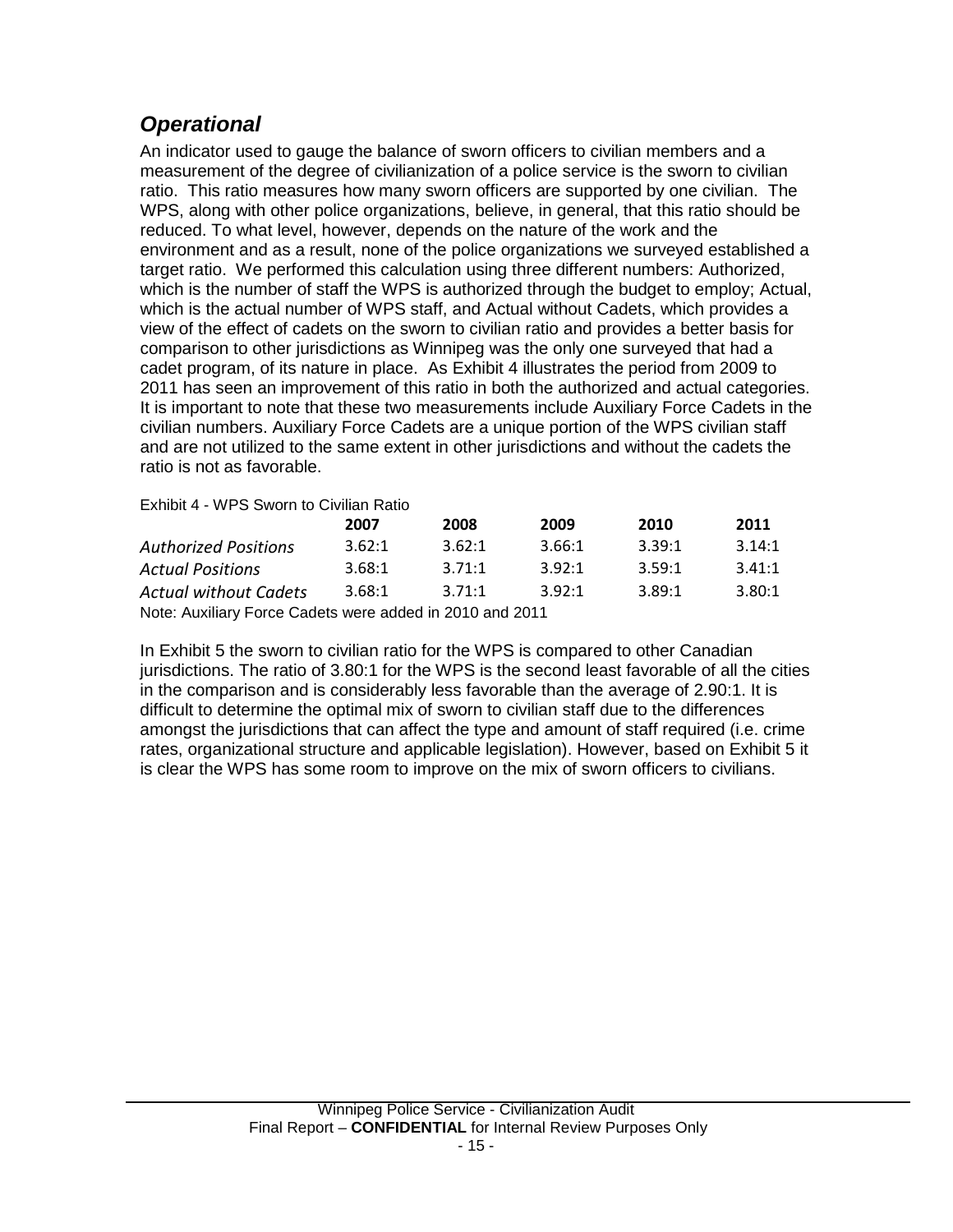## <span id="page-16-0"></span>*Operational*

An indicator used to gauge the balance of sworn officers to civilian members and a measurement of the degree of civilianization of a police service is the sworn to civilian ratio. This ratio measures how many sworn officers are supported by one civilian. The WPS, along with other police organizations, believe, in general, that this ratio should be reduced. To what level, however, depends on the nature of the work and the environment and as a result, none of the police organizations we surveyed established a target ratio. We performed this calculation using three different numbers: Authorized, which is the number of staff the WPS is authorized through the budget to employ; Actual, which is the actual number of WPS staff, and Actual without Cadets, which provides a view of the effect of cadets on the sworn to civilian ratio and provides a better basis for comparison to other jurisdictions as Winnipeg was the only one surveyed that had a cadet program, of its nature in place. As Exhibit 4 illustrates the period from 2009 to 2011 has seen an improvement of this ratio in both the authorized and actual categories. It is important to note that these two measurements include Auxiliary Force Cadets in the civilian numbers. Auxiliary Force Cadets are a unique portion of the WPS civilian staff and are not utilized to the same extent in other jurisdictions and without the cadets the ratio is not as favorable.

Exhibit 4 - WPS Sworn to Civilian Ratio

|                                                          | 2007   | 2008   | 2009   | 2010   | 2011   |  |  |  |  |  |
|----------------------------------------------------------|--------|--------|--------|--------|--------|--|--|--|--|--|
| <b>Authorized Positions</b>                              | 3.62:1 | 3.62:1 | 3.66:1 | 3.39:1 | 3.14:1 |  |  |  |  |  |
| <b>Actual Positions</b>                                  | 3.68:1 | 3.71:1 | 3.92:1 | 3.59:1 | 3.41:1 |  |  |  |  |  |
| Actual without Cadets                                    | 3.68:1 | 3.71:1 | 3.92:1 | 3.89:1 | 3.80:1 |  |  |  |  |  |
| Note: Auxiliary Force Cadets were added in 2010 and 2011 |        |        |        |        |        |  |  |  |  |  |

In Exhibit 5 the sworn to civilian ratio for the WPS is compared to other Canadian jurisdictions. The ratio of 3.80:1 for the WPS is the second least favorable of all the cities in the comparison and is considerably less favorable than the average of 2.90:1. It is difficult to determine the optimal mix of sworn to civilian staff due to the differences amongst the jurisdictions that can affect the type and amount of staff required (i.e. crime rates, organizational structure and applicable legislation). However, based on Exhibit 5 it is clear the WPS has some room to improve on the mix of sworn officers to civilians.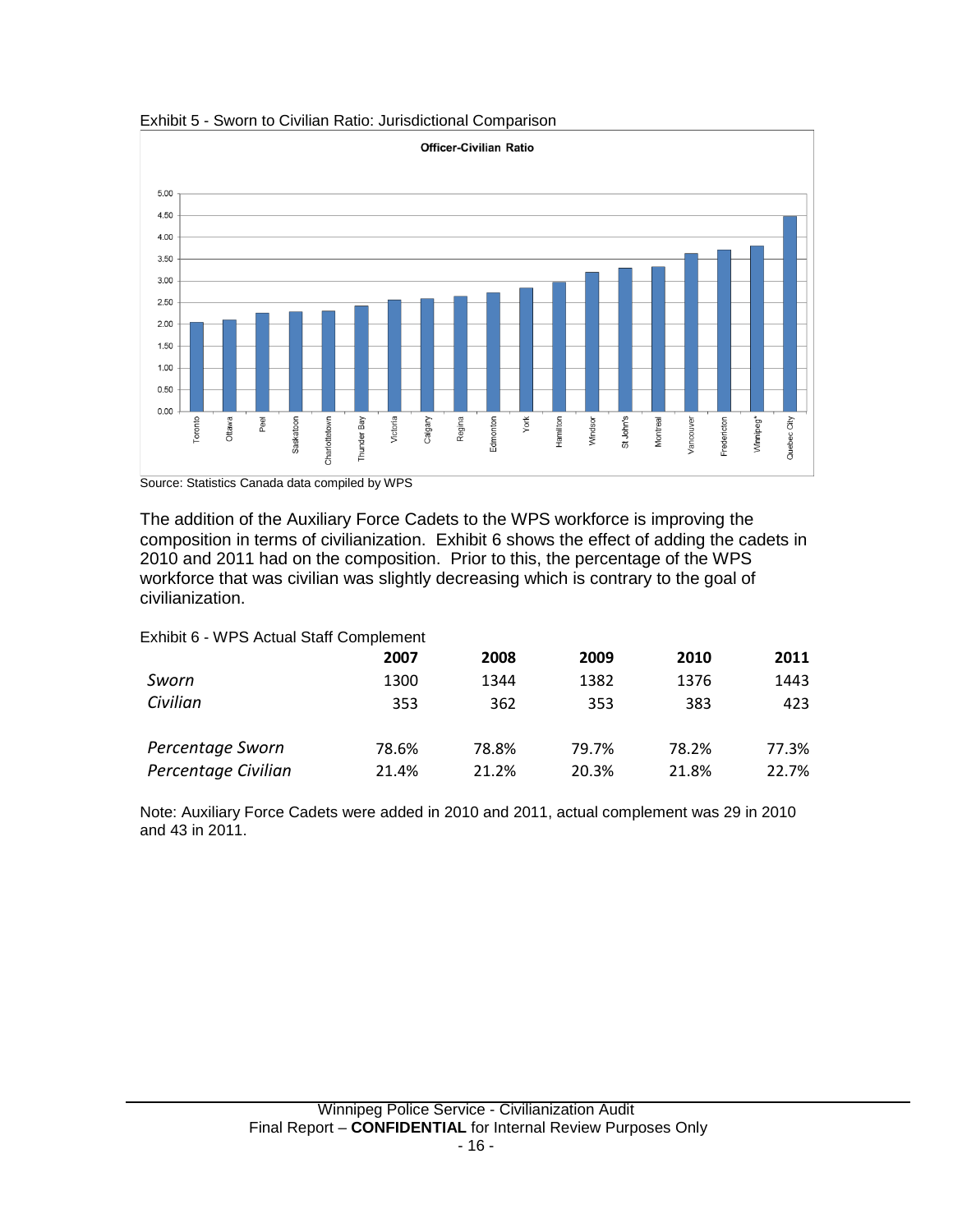



Source: Statistics Canada data compiled by WPS

The addition of the Auxiliary Force Cadets to the WPS workforce is improving the composition in terms of civilianization. Exhibit 6 shows the effect of adding the cadets in 2010 and 2011 had on the composition. Prior to this, the percentage of the WPS workforce that was civilian was slightly decreasing which is contrary to the goal of civilianization.

Exhibit 6 - WPS Actual Staff Complement

|                     | 2007  | 2008  | 2009  | 2010  | 2011  |
|---------------------|-------|-------|-------|-------|-------|
| Sworn               | 1300  | 1344  | 1382  | 1376  | 1443  |
| Civilian            | 353   | 362   | 353   | 383   | 423   |
| Percentage Sworn    | 78.6% | 78.8% | 79.7% | 78.2% | 77.3% |
| Percentage Civilian | 21.4% | 21.2% | 20.3% | 21.8% | 22.7% |

Note: Auxiliary Force Cadets were added in 2010 and 2011, actual complement was 29 in 2010 and 43 in 2011.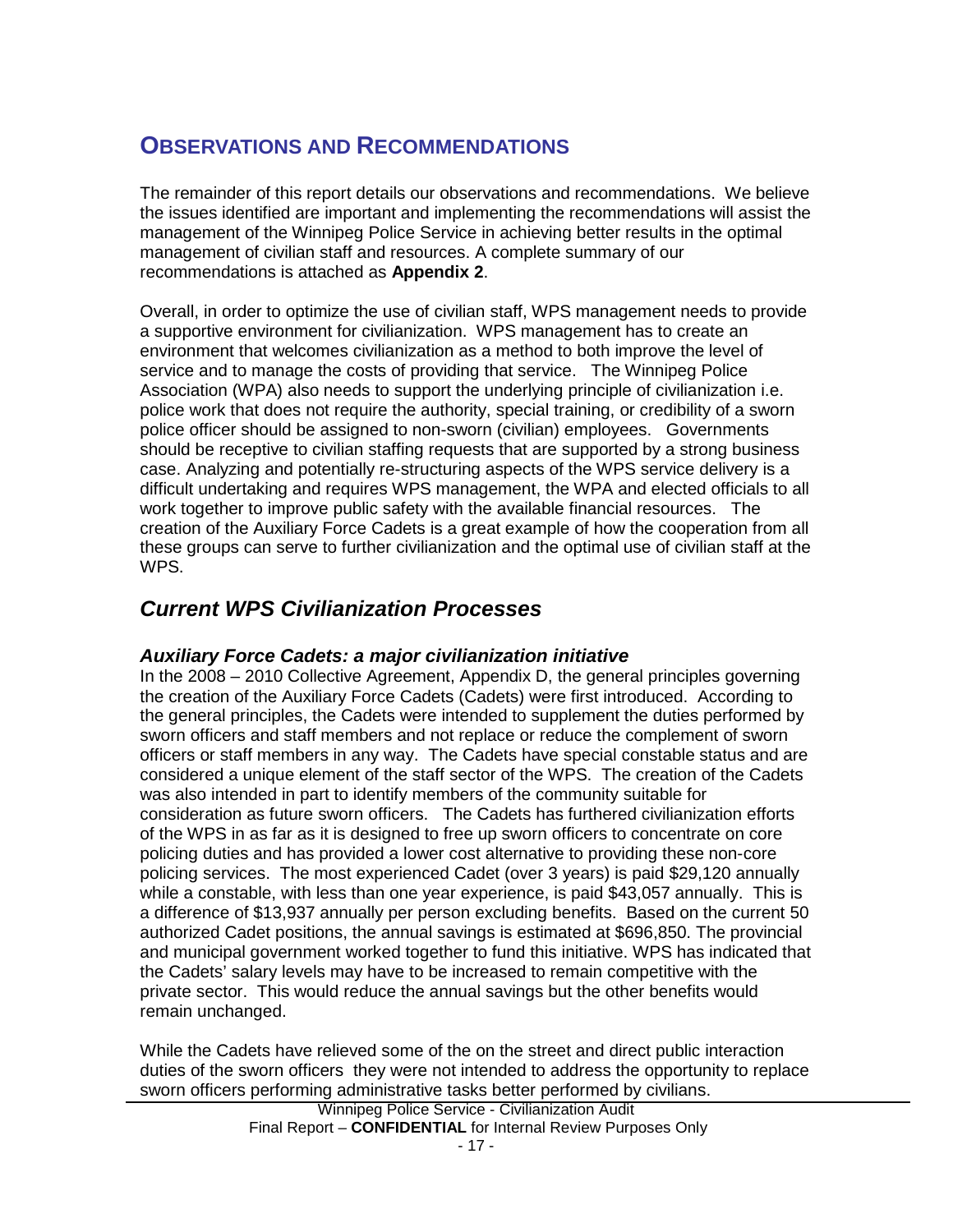## <span id="page-18-0"></span>**OBSERVATIONS AND RECOMMENDATIONS**

The remainder of this report details our observations and recommendations. We believe the issues identified are important and implementing the recommendations will assist the management of the Winnipeg Police Service in achieving better results in the optimal management of civilian staff and resources. A complete summary of our recommendations is attached as **Appendix 2**.

Overall, in order to optimize the use of civilian staff, WPS management needs to provide a supportive environment for civilianization. WPS management has to create an environment that welcomes civilianization as a method to both improve the level of service and to manage the costs of providing that service. The Winnipeg Police Association (WPA) also needs to support the underlying principle of civilianization i.e. police work that does not require the authority, special training, or credibility of a sworn police officer should be assigned to non-sworn (civilian) employees. Governments should be receptive to civilian staffing requests that are supported by a strong business case. Analyzing and potentially re-structuring aspects of the WPS service delivery is a difficult undertaking and requires WPS management, the WPA and elected officials to all work together to improve public safety with the available financial resources. The creation of the Auxiliary Force Cadets is a great example of how the cooperation from all these groups can serve to further civilianization and the optimal use of civilian staff at the WPS.

## <span id="page-18-1"></span>*Current WPS Civilianization Processes*

## *Auxiliary Force Cadets: a major civilianization initiative*

In the 2008 – 2010 Collective Agreement, Appendix D, the general principles governing the creation of the Auxiliary Force Cadets (Cadets) were first introduced. According to the general principles, the Cadets were intended to supplement the duties performed by sworn officers and staff members and not replace or reduce the complement of sworn officers or staff members in any way. The Cadets have special constable status and are considered a unique element of the staff sector of the WPS. The creation of the Cadets was also intended in part to identify members of the community suitable for consideration as future sworn officers. The Cadets has furthered civilianization efforts of the WPS in as far as it is designed to free up sworn officers to concentrate on core policing duties and has provided a lower cost alternative to providing these non-core policing services. The most experienced Cadet (over 3 years) is paid \$29,120 annually while a constable, with less than one year experience, is paid \$43,057 annually. This is a difference of \$13,937 annually per person excluding benefits. Based on the current 50 authorized Cadet positions, the annual savings is estimated at \$696,850. The provincial and municipal government worked together to fund this initiative. WPS has indicated that the Cadets' salary levels may have to be increased to remain competitive with the private sector. This would reduce the annual savings but the other benefits would remain unchanged.

While the Cadets have relieved some of the on the street and direct public interaction duties of the sworn officers they were not intended to address the opportunity to replace sworn officers performing administrative tasks better performed by civilians.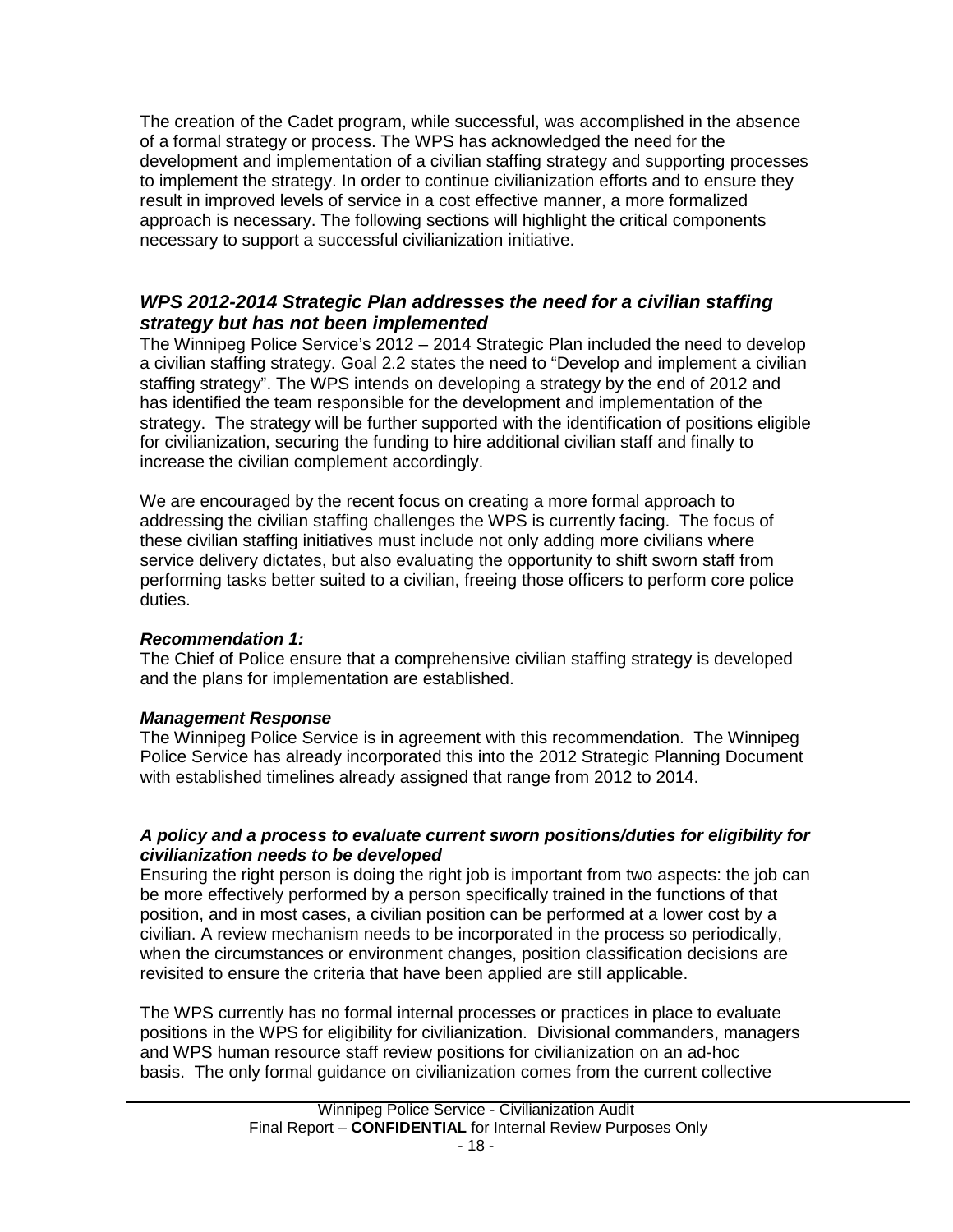The creation of the Cadet program, while successful, was accomplished in the absence of a formal strategy or process. The WPS has acknowledged the need for the development and implementation of a civilian staffing strategy and supporting processes to implement the strategy. In order to continue civilianization efforts and to ensure they result in improved levels of service in a cost effective manner, a more formalized approach is necessary. The following sections will highlight the critical components necessary to support a successful civilianization initiative.

## *WPS 2012-2014 Strategic Plan addresses the need for a civilian staffing strategy but has not been implemented*

The Winnipeg Police Service's 2012 – 2014 Strategic Plan included the need to develop a civilian staffing strategy. Goal 2.2 states the need to "Develop and implement a civilian staffing strategy". The WPS intends on developing a strategy by the end of 2012 and has identified the team responsible for the development and implementation of the strategy. The strategy will be further supported with the identification of positions eligible for civilianization, securing the funding to hire additional civilian staff and finally to increase the civilian complement accordingly.

We are encouraged by the recent focus on creating a more formal approach to addressing the civilian staffing challenges the WPS is currently facing. The focus of these civilian staffing initiatives must include not only adding more civilians where service delivery dictates, but also evaluating the opportunity to shift sworn staff from performing tasks better suited to a civilian, freeing those officers to perform core police duties.

## *Recommendation 1:*

The Chief of Police ensure that a comprehensive civilian staffing strategy is developed and the plans for implementation are established.

## *Management Response*

The Winnipeg Police Service is in agreement with this recommendation. The Winnipeg Police Service has already incorporated this into the 2012 Strategic Planning Document with established timelines already assigned that range from 2012 to 2014.

## *A policy and a process to evaluate current sworn positions/duties for eligibility for civilianization needs to be developed*

Ensuring the right person is doing the right job is important from two aspects: the job can be more effectively performed by a person specifically trained in the functions of that position, and in most cases, a civilian position can be performed at a lower cost by a civilian. A review mechanism needs to be incorporated in the process so periodically, when the circumstances or environment changes, position classification decisions are revisited to ensure the criteria that have been applied are still applicable.

The WPS currently has no formal internal processes or practices in place to evaluate positions in the WPS for eligibility for civilianization. Divisional commanders, managers and WPS human resource staff review positions for civilianization on an ad-hoc basis. The only formal guidance on civilianization comes from the current collective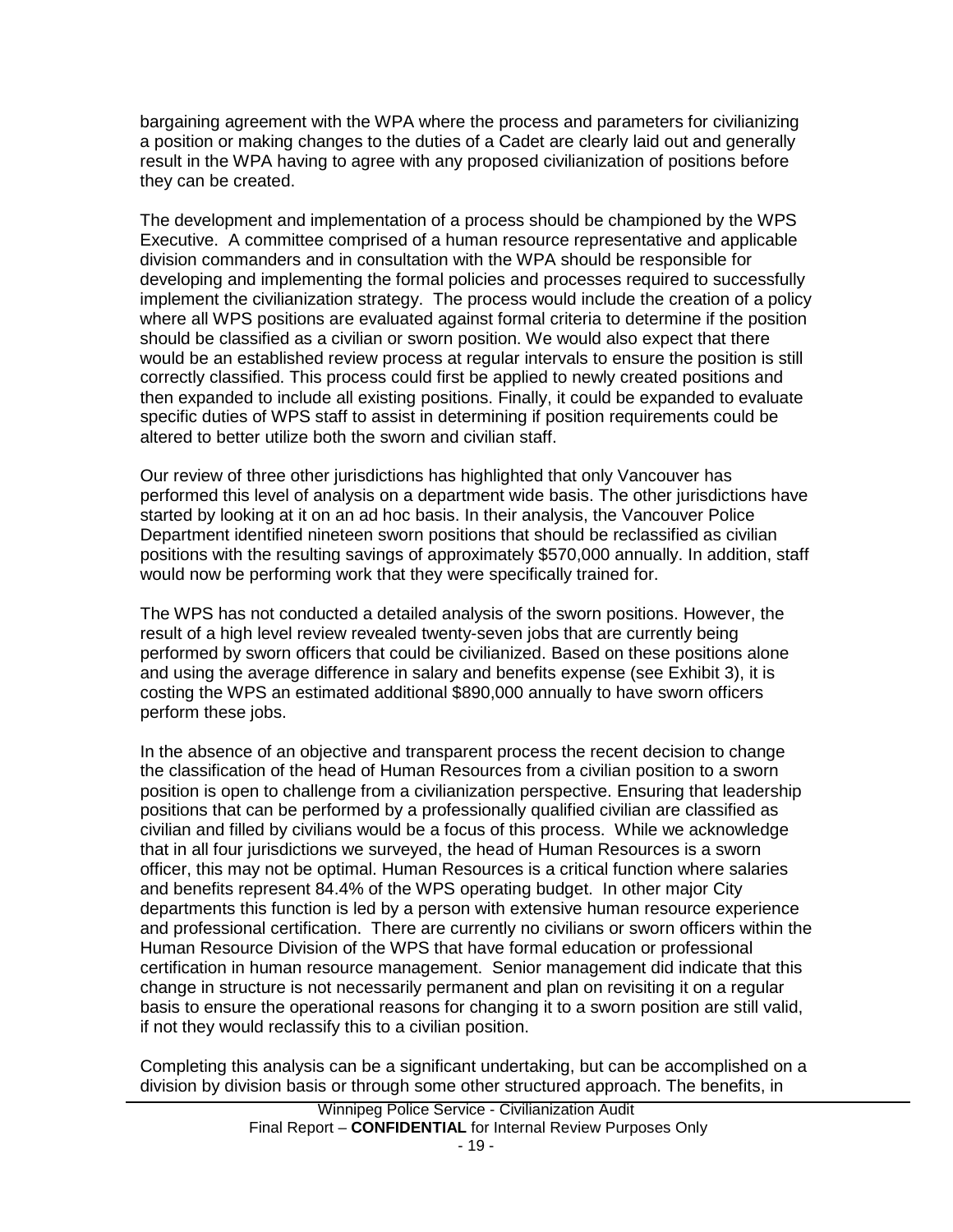bargaining agreement with the WPA where the process and parameters for civilianizing a position or making changes to the duties of a Cadet are clearly laid out and generally result in the WPA having to agree with any proposed civilianization of positions before they can be created.

The development and implementation of a process should be championed by the WPS Executive. A committee comprised of a human resource representative and applicable division commanders and in consultation with the WPA should be responsible for developing and implementing the formal policies and processes required to successfully implement the civilianization strategy. The process would include the creation of a policy where all WPS positions are evaluated against formal criteria to determine if the position should be classified as a civilian or sworn position. We would also expect that there would be an established review process at regular intervals to ensure the position is still correctly classified. This process could first be applied to newly created positions and then expanded to include all existing positions. Finally, it could be expanded to evaluate specific duties of WPS staff to assist in determining if position requirements could be altered to better utilize both the sworn and civilian staff.

Our review of three other jurisdictions has highlighted that only Vancouver has performed this level of analysis on a department wide basis. The other jurisdictions have started by looking at it on an ad hoc basis. In their analysis, the Vancouver Police Department identified nineteen sworn positions that should be reclassified as civilian positions with the resulting savings of approximately \$570,000 annually. In addition, staff would now be performing work that they were specifically trained for.

The WPS has not conducted a detailed analysis of the sworn positions. However, the result of a high level review revealed twenty-seven jobs that are currently being performed by sworn officers that could be civilianized. Based on these positions alone and using the average difference in salary and benefits expense (see Exhibit 3), it is costing the WPS an estimated additional \$890,000 annually to have sworn officers perform these jobs.

In the absence of an objective and transparent process the recent decision to change the classification of the head of Human Resources from a civilian position to a sworn position is open to challenge from a civilianization perspective. Ensuring that leadership positions that can be performed by a professionally qualified civilian are classified as civilian and filled by civilians would be a focus of this process. While we acknowledge that in all four jurisdictions we surveyed, the head of Human Resources is a sworn officer, this may not be optimal. Human Resources is a critical function where salaries and benefits represent 84.4% of the WPS operating budget. In other major City departments this function is led by a person with extensive human resource experience and professional certification. There are currently no civilians or sworn officers within the Human Resource Division of the WPS that have formal education or professional certification in human resource management. Senior management did indicate that this change in structure is not necessarily permanent and plan on revisiting it on a regular basis to ensure the operational reasons for changing it to a sworn position are still valid, if not they would reclassify this to a civilian position.

Completing this analysis can be a significant undertaking, but can be accomplished on a division by division basis or through some other structured approach. The benefits, in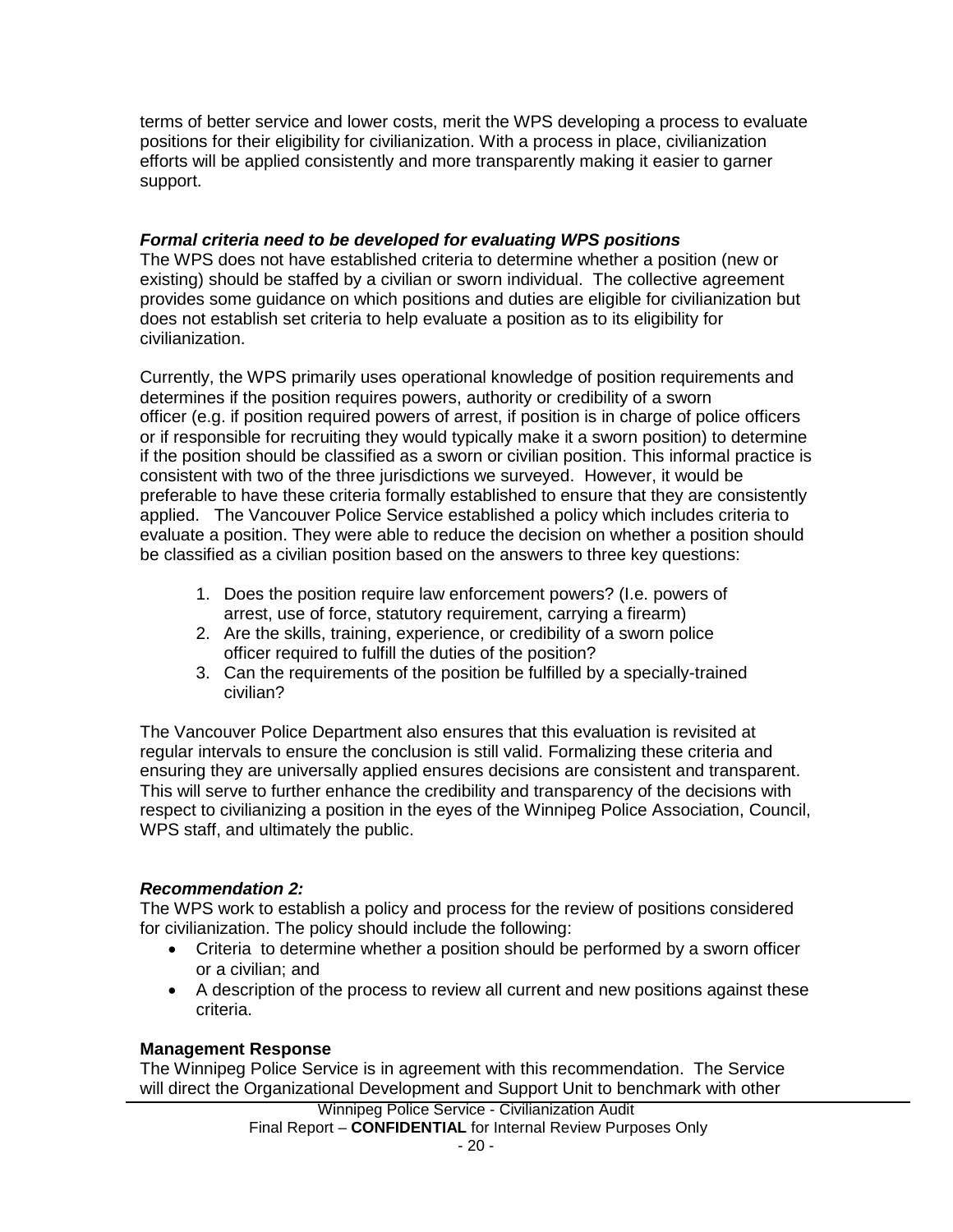terms of better service and lower costs, merit the WPS developing a process to evaluate positions for their eligibility for civilianization. With a process in place, civilianization efforts will be applied consistently and more transparently making it easier to garner support.

## *Formal criteria need to be developed for evaluating WPS positions*

The WPS does not have established criteria to determine whether a position (new or existing) should be staffed by a civilian or sworn individual. The collective agreement provides some guidance on which positions and duties are eligible for civilianization but does not establish set criteria to help evaluate a position as to its eligibility for civilianization.

Currently, the WPS primarily uses operational knowledge of position requirements and determines if the position requires powers, authority or credibility of a sworn officer (e.g. if position required powers of arrest, if position is in charge of police officers or if responsible for recruiting they would typically make it a sworn position) to determine if the position should be classified as a sworn or civilian position. This informal practice is consistent with two of the three jurisdictions we surveyed. However, it would be preferable to have these criteria formally established to ensure that they are consistently applied. The Vancouver Police Service established a policy which includes criteria to evaluate a position. They were able to reduce the decision on whether a position should be classified as a civilian position based on the answers to three key questions:

- 1. Does the position require law enforcement powers? (I.e. powers of arrest, use of force, statutory requirement, carrying a firearm)
- 2. Are the skills, training, experience, or credibility of a sworn police officer required to fulfill the duties of the position?
- 3. Can the requirements of the position be fulfilled by a specially-trained civilian?

The Vancouver Police Department also ensures that this evaluation is revisited at regular intervals to ensure the conclusion is still valid. Formalizing these criteria and ensuring they are universally applied ensures decisions are consistent and transparent. This will serve to further enhance the credibility and transparency of the decisions with respect to civilianizing a position in the eyes of the Winnipeg Police Association, Council, WPS staff, and ultimately the public.

## *Recommendation 2:*

The WPS work to establish a policy and process for the review of positions considered for civilianization. The policy should include the following:

- Criteria to determine whether a position should be performed by a sworn officer or a civilian; and
- A description of the process to review all current and new positions against these criteria.

## **Management Response**

The Winnipeg Police Service is in agreement with this recommendation. The Service will direct the Organizational Development and Support Unit to benchmark with other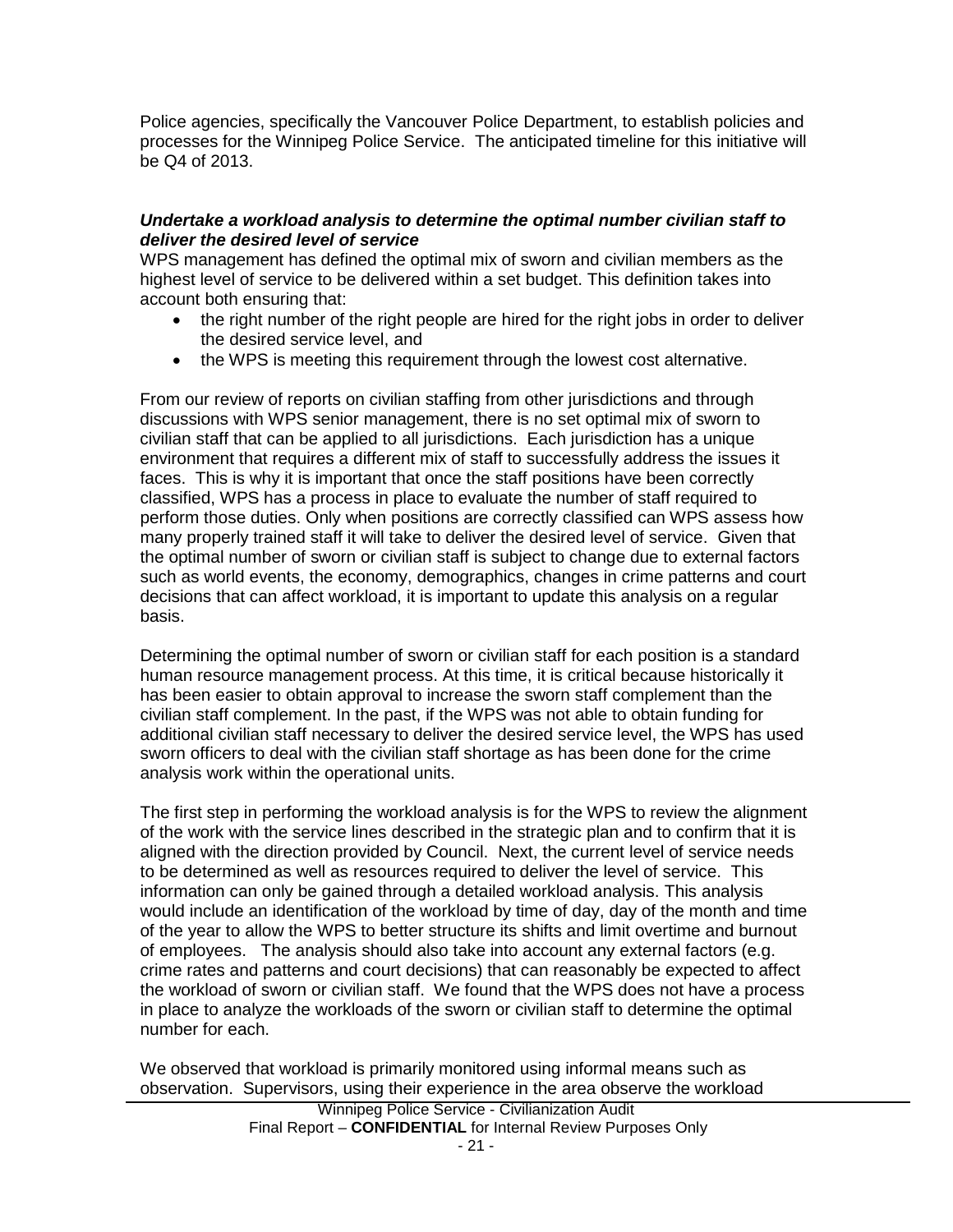Police agencies, specifically the Vancouver Police Department, to establish policies and processes for the Winnipeg Police Service. The anticipated timeline for this initiative will be Q4 of 2013.

### *Undertake a workload analysis to determine the optimal number civilian staff to deliver the desired level of service*

WPS management has defined the optimal mix of sworn and civilian members as the highest level of service to be delivered within a set budget. This definition takes into account both ensuring that:

- the right number of the right people are hired for the right jobs in order to deliver the desired service level, and
- the WPS is meeting this requirement through the lowest cost alternative.

From our review of reports on civilian staffing from other jurisdictions and through discussions with WPS senior management, there is no set optimal mix of sworn to civilian staff that can be applied to all jurisdictions. Each jurisdiction has a unique environment that requires a different mix of staff to successfully address the issues it faces. This is why it is important that once the staff positions have been correctly classified, WPS has a process in place to evaluate the number of staff required to perform those duties. Only when positions are correctly classified can WPS assess how many properly trained staff it will take to deliver the desired level of service. Given that the optimal number of sworn or civilian staff is subject to change due to external factors such as world events, the economy, demographics, changes in crime patterns and court decisions that can affect workload, it is important to update this analysis on a regular basis.

Determining the optimal number of sworn or civilian staff for each position is a standard human resource management process. At this time, it is critical because historically it has been easier to obtain approval to increase the sworn staff complement than the civilian staff complement. In the past, if the WPS was not able to obtain funding for additional civilian staff necessary to deliver the desired service level, the WPS has used sworn officers to deal with the civilian staff shortage as has been done for the crime analysis work within the operational units.

The first step in performing the workload analysis is for the WPS to review the alignment of the work with the service lines described in the strategic plan and to confirm that it is aligned with the direction provided by Council. Next, the current level of service needs to be determined as well as resources required to deliver the level of service. This information can only be gained through a detailed workload analysis. This analysis would include an identification of the workload by time of day, day of the month and time of the year to allow the WPS to better structure its shifts and limit overtime and burnout of employees. The analysis should also take into account any external factors (e.g. crime rates and patterns and court decisions) that can reasonably be expected to affect the workload of sworn or civilian staff. We found that the WPS does not have a process in place to analyze the workloads of the sworn or civilian staff to determine the optimal number for each.

We observed that workload is primarily monitored using informal means such as observation. Supervisors, using their experience in the area observe the workload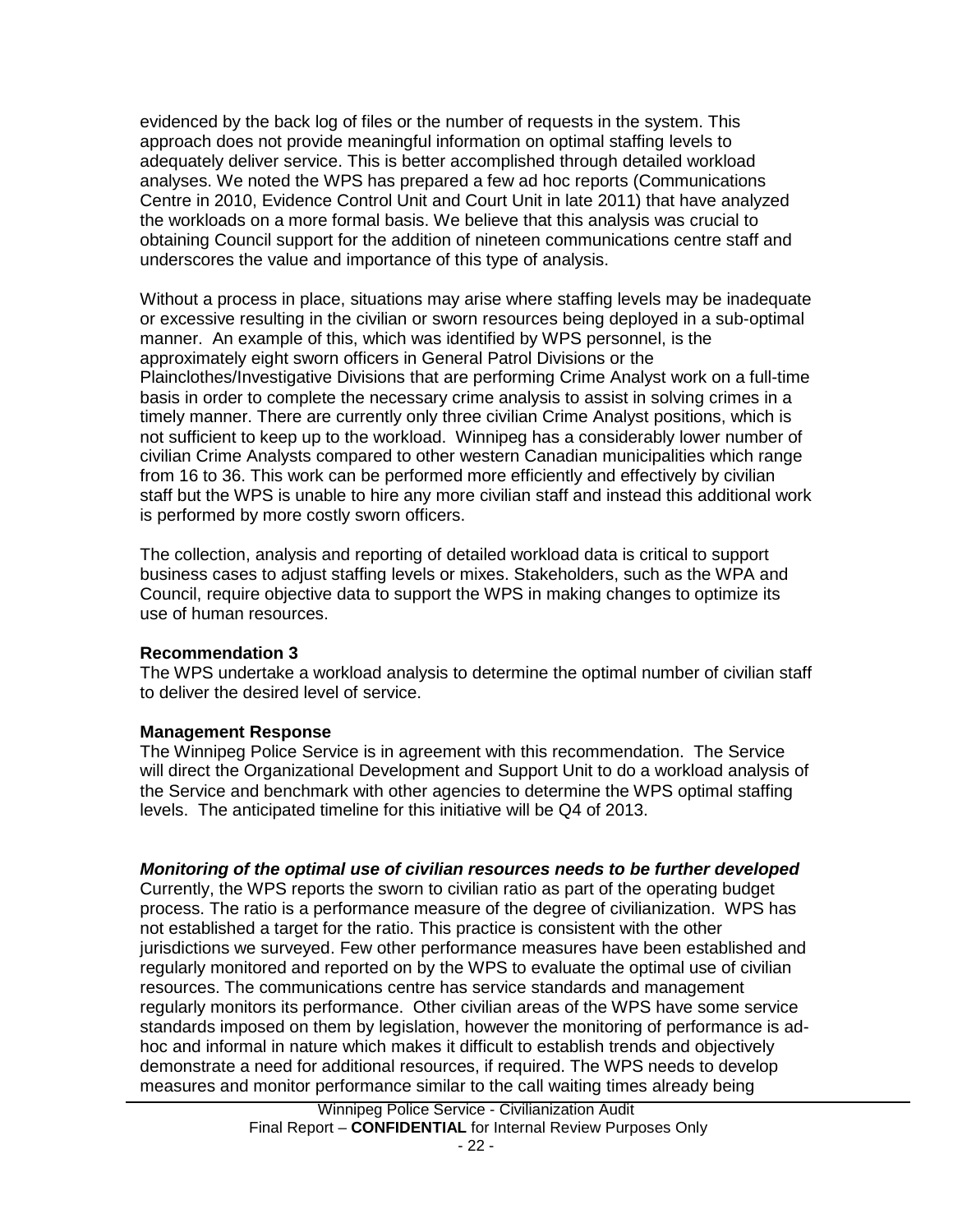evidenced by the back log of files or the number of requests in the system. This approach does not provide meaningful information on optimal staffing levels to adequately deliver service. This is better accomplished through detailed workload analyses. We noted the WPS has prepared a few ad hoc reports (Communications Centre in 2010, Evidence Control Unit and Court Unit in late 2011) that have analyzed the workloads on a more formal basis. We believe that this analysis was crucial to obtaining Council support for the addition of nineteen communications centre staff and underscores the value and importance of this type of analysis.

Without a process in place, situations may arise where staffing levels may be inadequate or excessive resulting in the civilian or sworn resources being deployed in a sub-optimal manner. An example of this, which was identified by WPS personnel, is the approximately eight sworn officers in General Patrol Divisions or the Plainclothes/Investigative Divisions that are performing Crime Analyst work on a full-time basis in order to complete the necessary crime analysis to assist in solving crimes in a timely manner. There are currently only three civilian Crime Analyst positions, which is not sufficient to keep up to the workload. Winnipeg has a considerably lower number of civilian Crime Analysts compared to other western Canadian municipalities which range from 16 to 36. This work can be performed more efficiently and effectively by civilian staff but the WPS is unable to hire any more civilian staff and instead this additional work is performed by more costly sworn officers.

The collection, analysis and reporting of detailed workload data is critical to support business cases to adjust staffing levels or mixes. Stakeholders, such as the WPA and Council, require objective data to support the WPS in making changes to optimize its use of human resources.

#### **Recommendation 3**

The WPS undertake a workload analysis to determine the optimal number of civilian staff to deliver the desired level of service.

## **Management Response**

The Winnipeg Police Service is in agreement with this recommendation. The Service will direct the Organizational Development and Support Unit to do a workload analysis of the Service and benchmark with other agencies to determine the WPS optimal staffing levels. The anticipated timeline for this initiative will be Q4 of 2013.

## *Monitoring of the optimal use of civilian resources needs to be further developed*

Currently, the WPS reports the sworn to civilian ratio as part of the operating budget process. The ratio is a performance measure of the degree of civilianization. WPS has not established a target for the ratio. This practice is consistent with the other jurisdictions we surveyed. Few other performance measures have been established and regularly monitored and reported on by the WPS to evaluate the optimal use of civilian resources. The communications centre has service standards and management regularly monitors its performance. Other civilian areas of the WPS have some service standards imposed on them by legislation, however the monitoring of performance is adhoc and informal in nature which makes it difficult to establish trends and objectively demonstrate a need for additional resources, if required. The WPS needs to develop measures and monitor performance similar to the call waiting times already being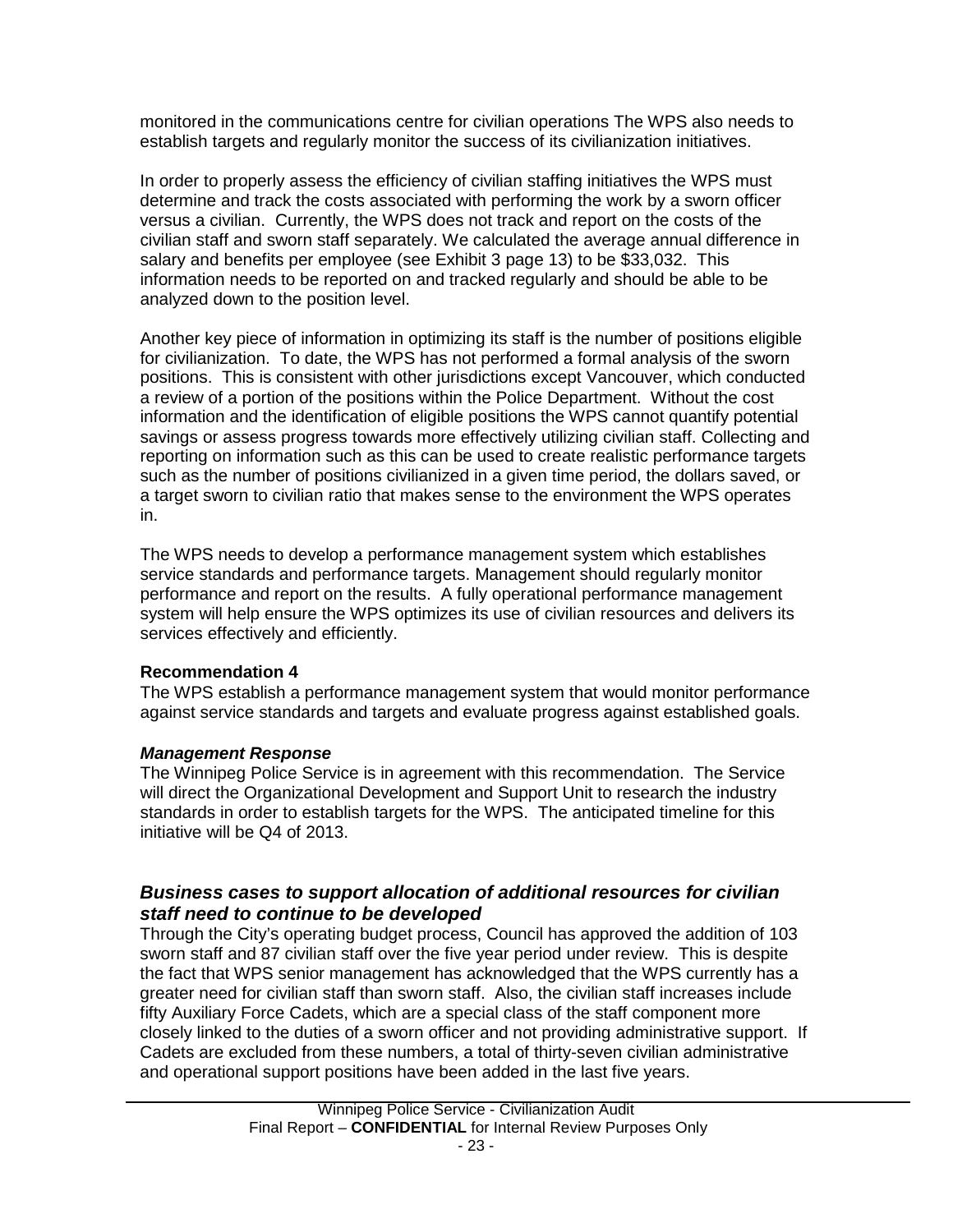monitored in the communications centre for civilian operations The WPS also needs to establish targets and regularly monitor the success of its civilianization initiatives.

In order to properly assess the efficiency of civilian staffing initiatives the WPS must determine and track the costs associated with performing the work by a sworn officer versus a civilian. Currently, the WPS does not track and report on the costs of the civilian staff and sworn staff separately. We calculated the average annual difference in salary and benefits per employee (see Exhibit 3 page 13) to be \$33,032. This information needs to be reported on and tracked regularly and should be able to be analyzed down to the position level.

Another key piece of information in optimizing its staff is the number of positions eligible for civilianization. To date, the WPS has not performed a formal analysis of the sworn positions. This is consistent with other jurisdictions except Vancouver, which conducted a review of a portion of the positions within the Police Department. Without the cost information and the identification of eligible positions the WPS cannot quantify potential savings or assess progress towards more effectively utilizing civilian staff. Collecting and reporting on information such as this can be used to create realistic performance targets such as the number of positions civilianized in a given time period, the dollars saved, or a target sworn to civilian ratio that makes sense to the environment the WPS operates in.

The WPS needs to develop a performance management system which establishes service standards and performance targets. Management should regularly monitor performance and report on the results. A fully operational performance management system will help ensure the WPS optimizes its use of civilian resources and delivers its services effectively and efficiently.

## **Recommendation 4**

The WPS establish a performance management system that would monitor performance against service standards and targets and evaluate progress against established goals.

#### *Management Response*

The Winnipeg Police Service is in agreement with this recommendation. The Service will direct the Organizational Development and Support Unit to research the industry standards in order to establish targets for the WPS. The anticipated timeline for this initiative will be Q4 of 2013.

## *Business cases to support allocation of additional resources for civilian staff need to continue to be developed*

Through the City's operating budget process, Council has approved the addition of 103 sworn staff and 87 civilian staff over the five year period under review. This is despite the fact that WPS senior management has acknowledged that the WPS currently has a greater need for civilian staff than sworn staff. Also, the civilian staff increases include fifty Auxiliary Force Cadets, which are a special class of the staff component more closely linked to the duties of a sworn officer and not providing administrative support. If Cadets are excluded from these numbers, a total of thirty-seven civilian administrative and operational support positions have been added in the last five years.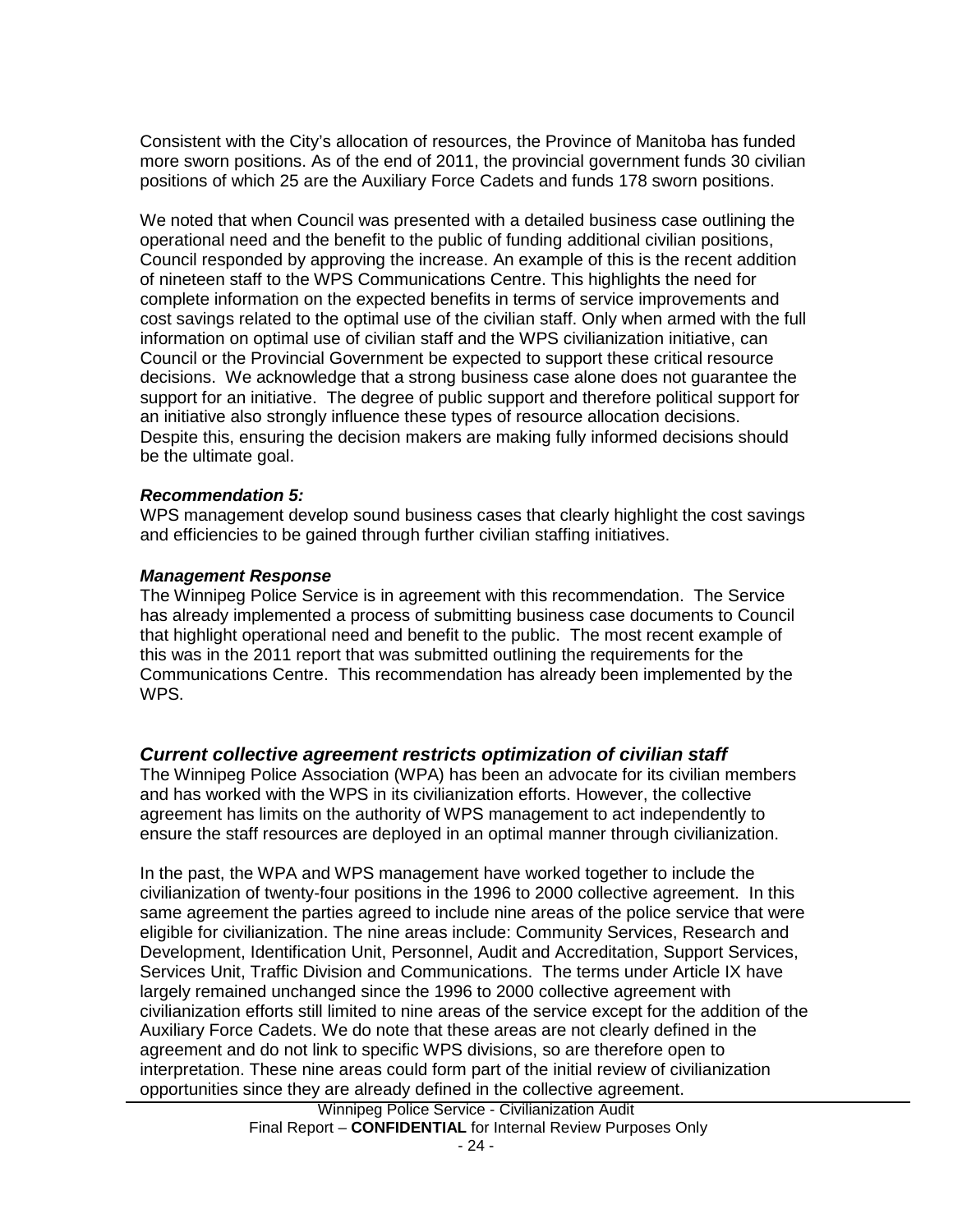Consistent with the City's allocation of resources, the Province of Manitoba has funded more sworn positions. As of the end of 2011, the provincial government funds 30 civilian positions of which 25 are the Auxiliary Force Cadets and funds 178 sworn positions.

We noted that when Council was presented with a detailed business case outlining the operational need and the benefit to the public of funding additional civilian positions, Council responded by approving the increase. An example of this is the recent addition of nineteen staff to the WPS Communications Centre. This highlights the need for complete information on the expected benefits in terms of service improvements and cost savings related to the optimal use of the civilian staff. Only when armed with the full information on optimal use of civilian staff and the WPS civilianization initiative, can Council or the Provincial Government be expected to support these critical resource decisions. We acknowledge that a strong business case alone does not guarantee the support for an initiative. The degree of public support and therefore political support for an initiative also strongly influence these types of resource allocation decisions. Despite this, ensuring the decision makers are making fully informed decisions should be the ultimate goal.

#### *Recommendation 5:*

WPS management develop sound business cases that clearly highlight the cost savings and efficiencies to be gained through further civilian staffing initiatives.

#### *Management Response*

The Winnipeg Police Service is in agreement with this recommendation. The Service has already implemented a process of submitting business case documents to Council that highlight operational need and benefit to the public. The most recent example of this was in the 2011 report that was submitted outlining the requirements for the Communications Centre. This recommendation has already been implemented by the WPS.

#### *Current collective agreement restricts optimization of civilian staff*

The Winnipeg Police Association (WPA) has been an advocate for its civilian members and has worked with the WPS in its civilianization efforts. However, the collective agreement has limits on the authority of WPS management to act independently to ensure the staff resources are deployed in an optimal manner through civilianization.

In the past, the WPA and WPS management have worked together to include the civilianization of twenty-four positions in the 1996 to 2000 collective agreement. In this same agreement the parties agreed to include nine areas of the police service that were eligible for civilianization. The nine areas include: Community Services, Research and Development, Identification Unit, Personnel, Audit and Accreditation, Support Services, Services Unit, Traffic Division and Communications. The terms under Article IX have largely remained unchanged since the 1996 to 2000 collective agreement with civilianization efforts still limited to nine areas of the service except for the addition of the Auxiliary Force Cadets. We do note that these areas are not clearly defined in the agreement and do not link to specific WPS divisions, so are therefore open to interpretation. These nine areas could form part of the initial review of civilianization opportunities since they are already defined in the collective agreement.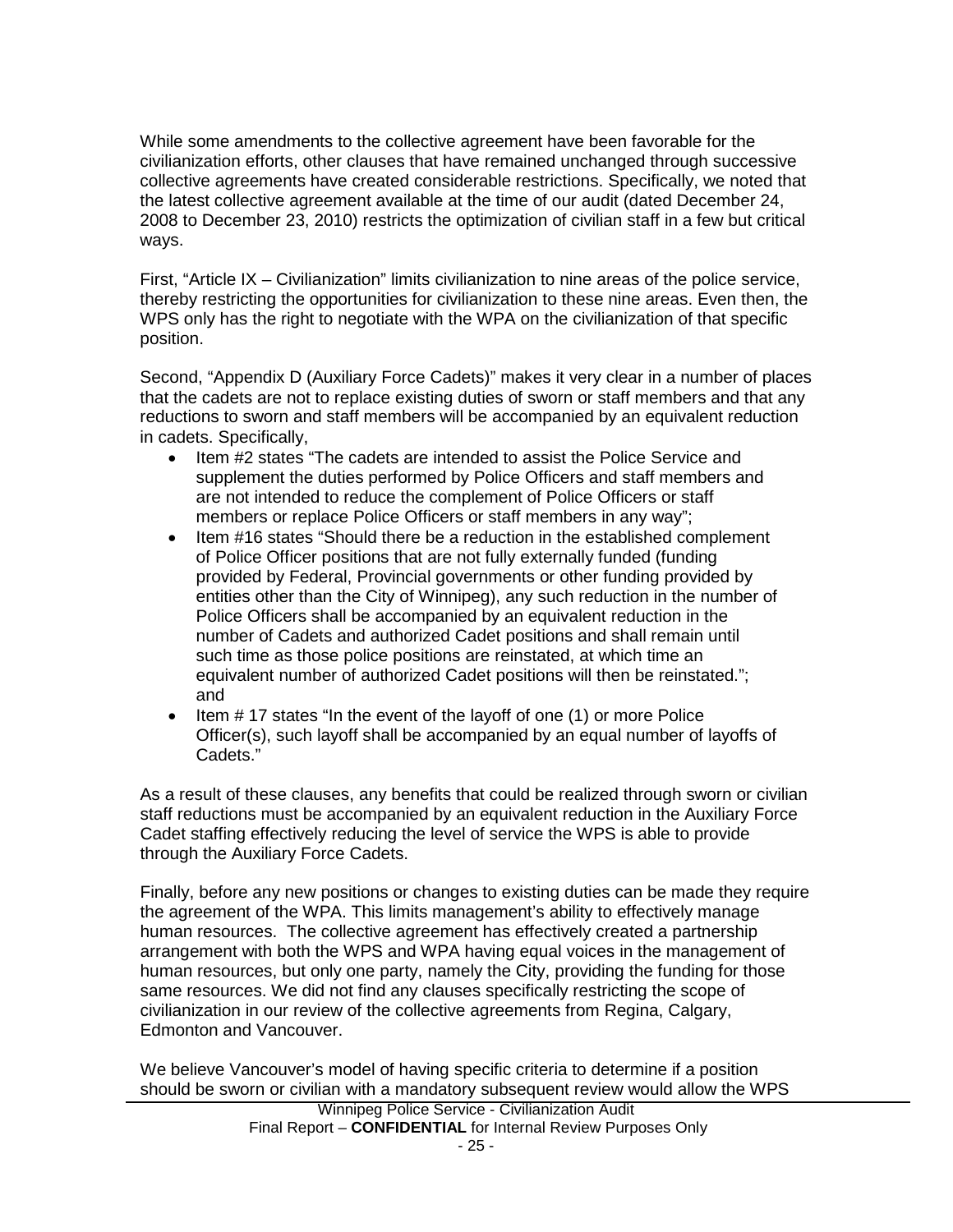While some amendments to the collective agreement have been favorable for the civilianization efforts, other clauses that have remained unchanged through successive collective agreements have created considerable restrictions. Specifically, we noted that the latest collective agreement available at the time of our audit (dated December 24, 2008 to December 23, 2010) restricts the optimization of civilian staff in a few but critical ways.

First, "Article IX – Civilianization" limits civilianization to nine areas of the police service, thereby restricting the opportunities for civilianization to these nine areas. Even then, the WPS only has the right to negotiate with the WPA on the civilianization of that specific position.

Second, "Appendix D (Auxiliary Force Cadets)" makes it very clear in a number of places that the cadets are not to replace existing duties of sworn or staff members and that any reductions to sworn and staff members will be accompanied by an equivalent reduction in cadets. Specifically,

- Item #2 states "The cadets are intended to assist the Police Service and supplement the duties performed by Police Officers and staff members and are not intended to reduce the complement of Police Officers or staff members or replace Police Officers or staff members in any way";
- Item #16 states "Should there be a reduction in the established complement of Police Officer positions that are not fully externally funded (funding provided by Federal, Provincial governments or other funding provided by entities other than the City of Winnipeg), any such reduction in the number of Police Officers shall be accompanied by an equivalent reduction in the number of Cadets and authorized Cadet positions and shall remain until such time as those police positions are reinstated, at which time an equivalent number of authorized Cadet positions will then be reinstated."; and
- Item #17 states "In the event of the layoff of one (1) or more Police Officer(s), such layoff shall be accompanied by an equal number of layoffs of Cadets."

As a result of these clauses, any benefits that could be realized through sworn or civilian staff reductions must be accompanied by an equivalent reduction in the Auxiliary Force Cadet staffing effectively reducing the level of service the WPS is able to provide through the Auxiliary Force Cadets.

Finally, before any new positions or changes to existing duties can be made they require the agreement of the WPA. This limits management's ability to effectively manage human resources. The collective agreement has effectively created a partnership arrangement with both the WPS and WPA having equal voices in the management of human resources, but only one party, namely the City, providing the funding for those same resources. We did not find any clauses specifically restricting the scope of civilianization in our review of the collective agreements from Regina, Calgary, Edmonton and Vancouver.

Winnipeg Police Service - Civilianization Audit Final Report – **CONFIDENTIAL** for Internal Review Purposes Only We believe Vancouver's model of having specific criteria to determine if a position should be sworn or civilian with a mandatory subsequent review would allow the WPS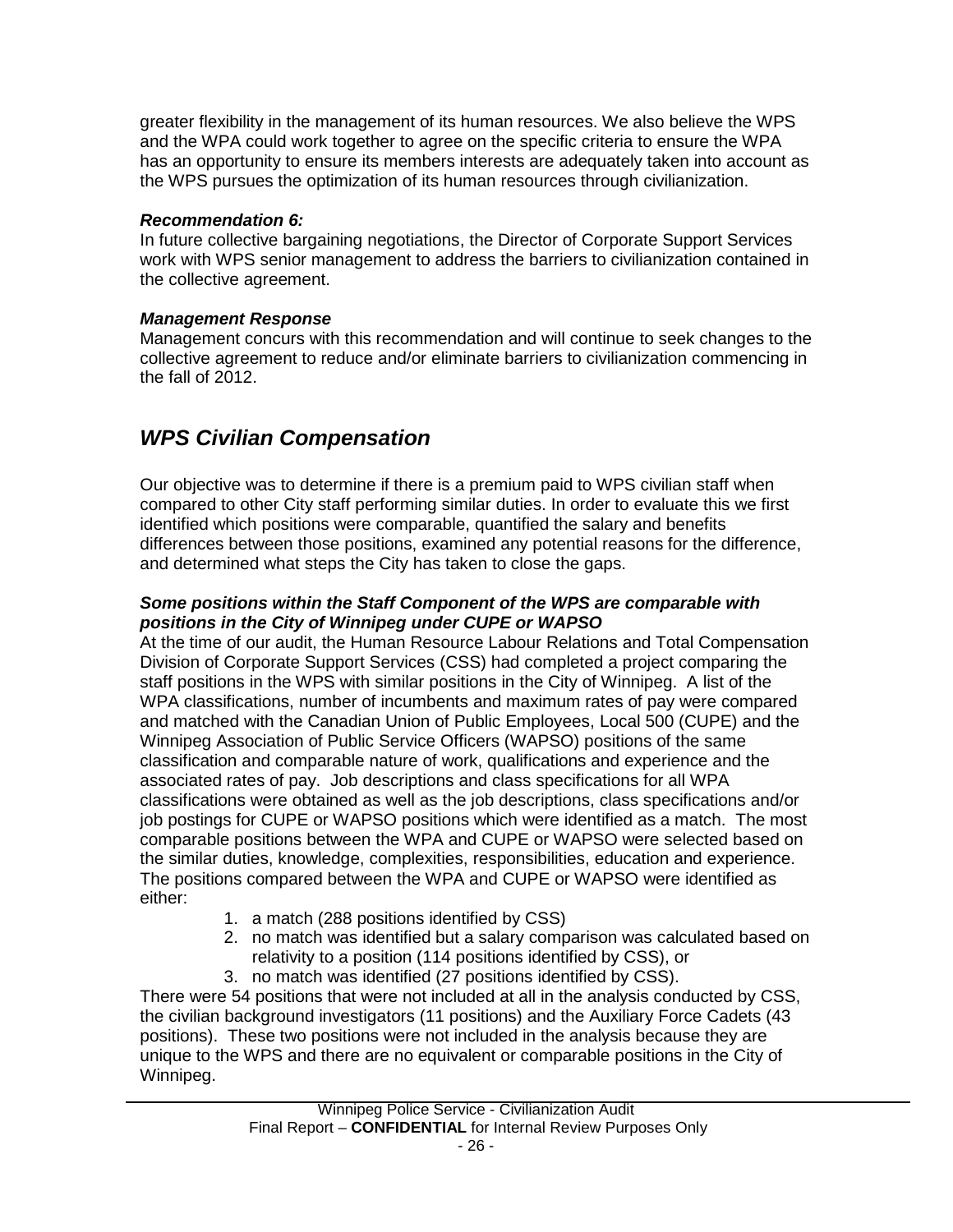greater flexibility in the management of its human resources. We also believe the WPS and the WPA could work together to agree on the specific criteria to ensure the WPA has an opportunity to ensure its members interests are adequately taken into account as the WPS pursues the optimization of its human resources through civilianization.

## *Recommendation 6:*

In future collective bargaining negotiations, the Director of Corporate Support Services work with WPS senior management to address the barriers to civilianization contained in the collective agreement.

## *Management Response*

Management concurs with this recommendation and will continue to seek changes to the collective agreement to reduce and/or eliminate barriers to civilianization commencing in the fall of 2012.

## <span id="page-27-0"></span>*WPS Civilian Compensation*

Our objective was to determine if there is a premium paid to WPS civilian staff when compared to other City staff performing similar duties. In order to evaluate this we first identified which positions were comparable, quantified the salary and benefits differences between those positions, examined any potential reasons for the difference, and determined what steps the City has taken to close the gaps.

## *Some positions within the Staff Component of the WPS are comparable with positions in the City of Winnipeg under CUPE or WAPSO*

At the time of our audit, the Human Resource Labour Relations and Total Compensation Division of Corporate Support Services (CSS) had completed a project comparing the staff positions in the WPS with similar positions in the City of Winnipeg. A list of the WPA classifications, number of incumbents and maximum rates of pay were compared and matched with the Canadian Union of Public Employees, Local 500 (CUPE) and the Winnipeg Association of Public Service Officers (WAPSO) positions of the same classification and comparable nature of work, qualifications and experience and the associated rates of pay. Job descriptions and class specifications for all WPA classifications were obtained as well as the job descriptions, class specifications and/or job postings for CUPE or WAPSO positions which were identified as a match. The most comparable positions between the WPA and CUPE or WAPSO were selected based on the similar duties, knowledge, complexities, responsibilities, education and experience. The positions compared between the WPA and CUPE or WAPSO were identified as either:

- 1. a match (288 positions identified by CSS)
- 2. no match was identified but a salary comparison was calculated based on relativity to a position (114 positions identified by CSS), or
- 3. no match was identified (27 positions identified by CSS).

There were 54 positions that were not included at all in the analysis conducted by CSS, the civilian background investigators (11 positions) and the Auxiliary Force Cadets (43 positions). These two positions were not included in the analysis because they are unique to the WPS and there are no equivalent or comparable positions in the City of Winnipeg.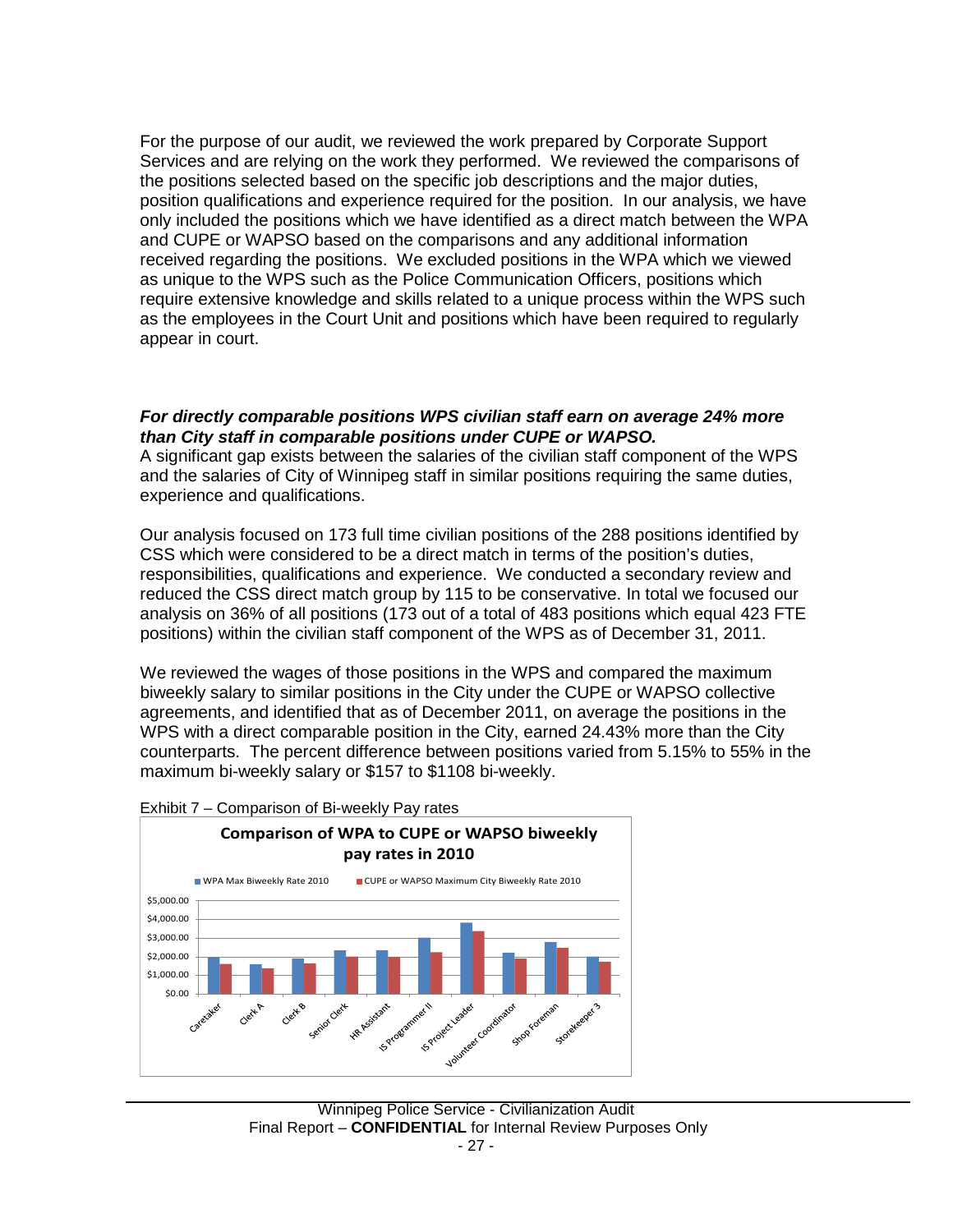For the purpose of our audit, we reviewed the work prepared by Corporate Support Services and are relying on the work they performed. We reviewed the comparisons of the positions selected based on the specific job descriptions and the major duties, position qualifications and experience required for the position. In our analysis, we have only included the positions which we have identified as a direct match between the WPA and CUPE or WAPSO based on the comparisons and any additional information received regarding the positions. We excluded positions in the WPA which we viewed as unique to the WPS such as the Police Communication Officers, positions which require extensive knowledge and skills related to a unique process within the WPS such as the employees in the Court Unit and positions which have been required to regularly appear in court.

#### *For directly comparable positions WPS civilian staff earn on average 24% more than City staff in comparable positions under CUPE or WAPSO.*

A significant gap exists between the salaries of the civilian staff component of the WPS and the salaries of City of Winnipeg staff in similar positions requiring the same duties, experience and qualifications.

Our analysis focused on 173 full time civilian positions of the 288 positions identified by CSS which were considered to be a direct match in terms of the position's duties, responsibilities, qualifications and experience. We conducted a secondary review and reduced the CSS direct match group by 115 to be conservative. In total we focused our analysis on 36% of all positions (173 out of a total of 483 positions which equal 423 FTE positions) within the civilian staff component of the WPS as of December 31, 2011.

We reviewed the wages of those positions in the WPS and compared the maximum biweekly salary to similar positions in the City under the CUPE or WAPSO collective agreements, and identified that as of December 2011, on average the positions in the WPS with a direct comparable position in the City, earned 24.43% more than the City counterparts. The percent difference between positions varied from 5.15% to 55% in the maximum bi-weekly salary or \$157 to \$1108 bi-weekly.



#### Exhibit 7 – Comparison of Bi-weekly Pay rates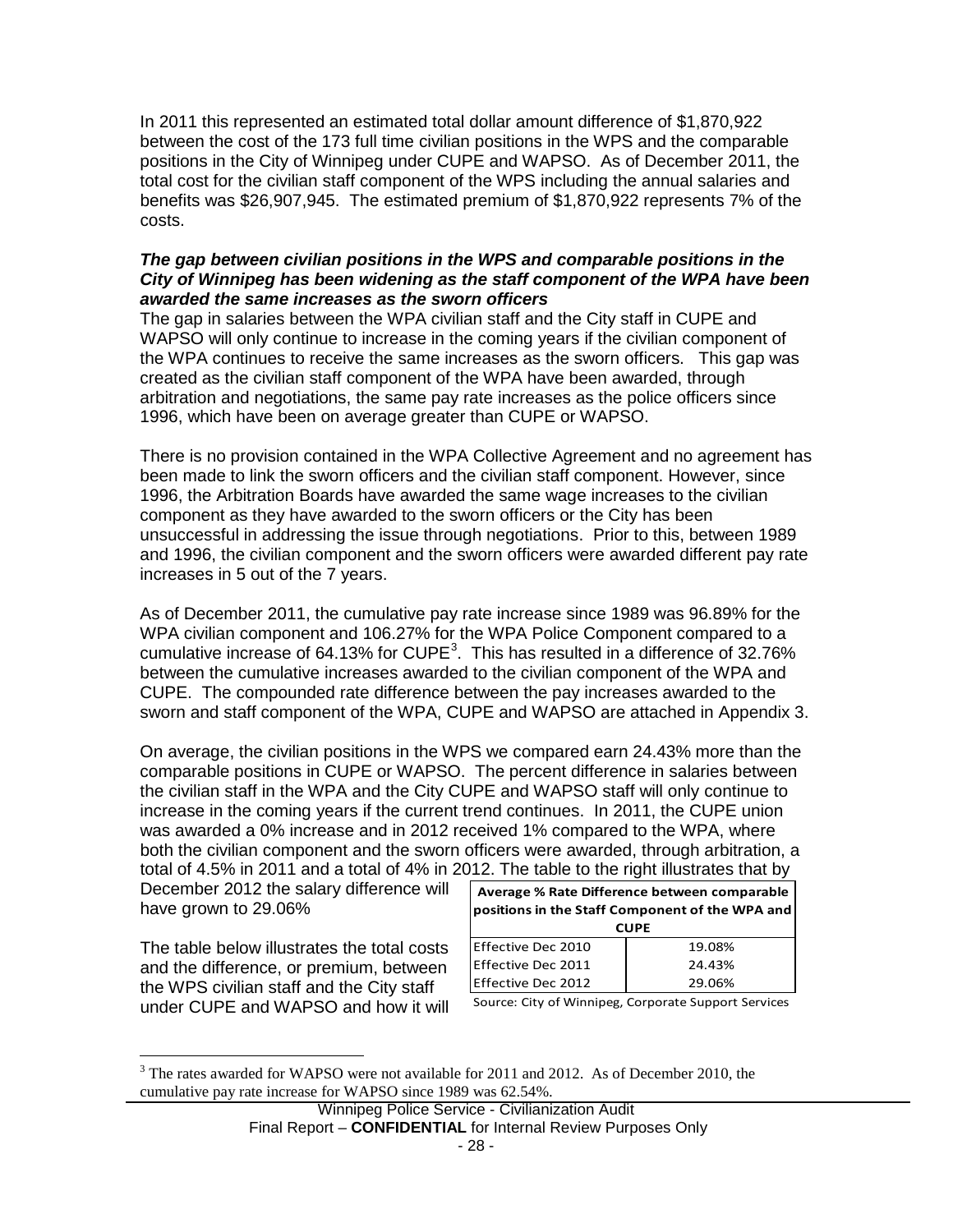In 2011 this represented an estimated total dollar amount difference of \$1,870,922 between the cost of the 173 full time civilian positions in the WPS and the comparable positions in the City of Winnipeg under CUPE and WAPSO. As of December 2011, the total cost for the civilian staff component of the WPS including the annual salaries and benefits was \$26,907,945. The estimated premium of \$1,870,922 represents 7% of the costs.

### *The gap between civilian positions in the WPS and comparable positions in the City of Winnipeg has been widening as the staff component of the WPA have been awarded the same increases as the sworn officers*

The gap in salaries between the WPA civilian staff and the City staff in CUPE and WAPSO will only continue to increase in the coming years if the civilian component of the WPA continues to receive the same increases as the sworn officers. This gap was created as the civilian staff component of the WPA have been awarded, through arbitration and negotiations, the same pay rate increases as the police officers since 1996, which have been on average greater than CUPE or WAPSO.

There is no provision contained in the WPA Collective Agreement and no agreement has been made to link the sworn officers and the civilian staff component. However, since 1996, the Arbitration Boards have awarded the same wage increases to the civilian component as they have awarded to the sworn officers or the City has been unsuccessful in addressing the issue through negotiations. Prior to this, between 1989 and 1996, the civilian component and the sworn officers were awarded different pay rate increases in 5 out of the 7 years.

As of December 2011, the cumulative pay rate increase since 1989 was 96.89% for the WPA civilian component and 106.27% for the WPA Police Component compared to a cumulative increase of 64.1[3](#page-10-1)% for CUPE<sup>3</sup>. This has resulted in a difference of 32.76% between the cumulative increases awarded to the civilian component of the WPA and CUPE. The compounded rate difference between the pay increases awarded to the sworn and staff component of the WPA, CUPE and WAPSO are attached in Appendix 3.

On average, the civilian positions in the WPS we compared earn 24.43% more than the comparable positions in CUPE or WAPSO. The percent difference in salaries between the civilian staff in the WPA and the City CUPE and WAPSO staff will only continue to increase in the coming years if the current trend continues. In 2011, the CUPE union was awarded a 0% increase and in 2012 received 1% compared to the WPA, where both the civilian component and the sworn officers were awarded, through arbitration, a total of 4.5% in 2011 and a total of 4% in 2012. The table to the right illustrates that by

December 2012 the salary difference will have grown to 29.06%

The table below illustrates the total costs and the difference, or premium, between the WPS civilian staff and the City staff under CUPE and WAPSO and how it will

| Average % Rate Difference between comparable    |        |  |  |  |  |  |  |  |
|-------------------------------------------------|--------|--|--|--|--|--|--|--|
| positions in the Staff Component of the WPA and |        |  |  |  |  |  |  |  |
| <b>CUPE</b>                                     |        |  |  |  |  |  |  |  |
| Effective Dec 2010                              | 19.08% |  |  |  |  |  |  |  |
| Effective Dec 2011                              | 24.43% |  |  |  |  |  |  |  |
| <b>Effective Dec 2012</b>                       | 29.06% |  |  |  |  |  |  |  |

Source: City of Winnipeg, Corporate Support Services

<span id="page-29-0"></span><sup>&</sup>lt;sup>3</sup> The rates awarded for WAPSO were not available for 2011 and 2012. As of December 2010, the cumulative pay rate increase for WAPSO since 1989 was 62.54%.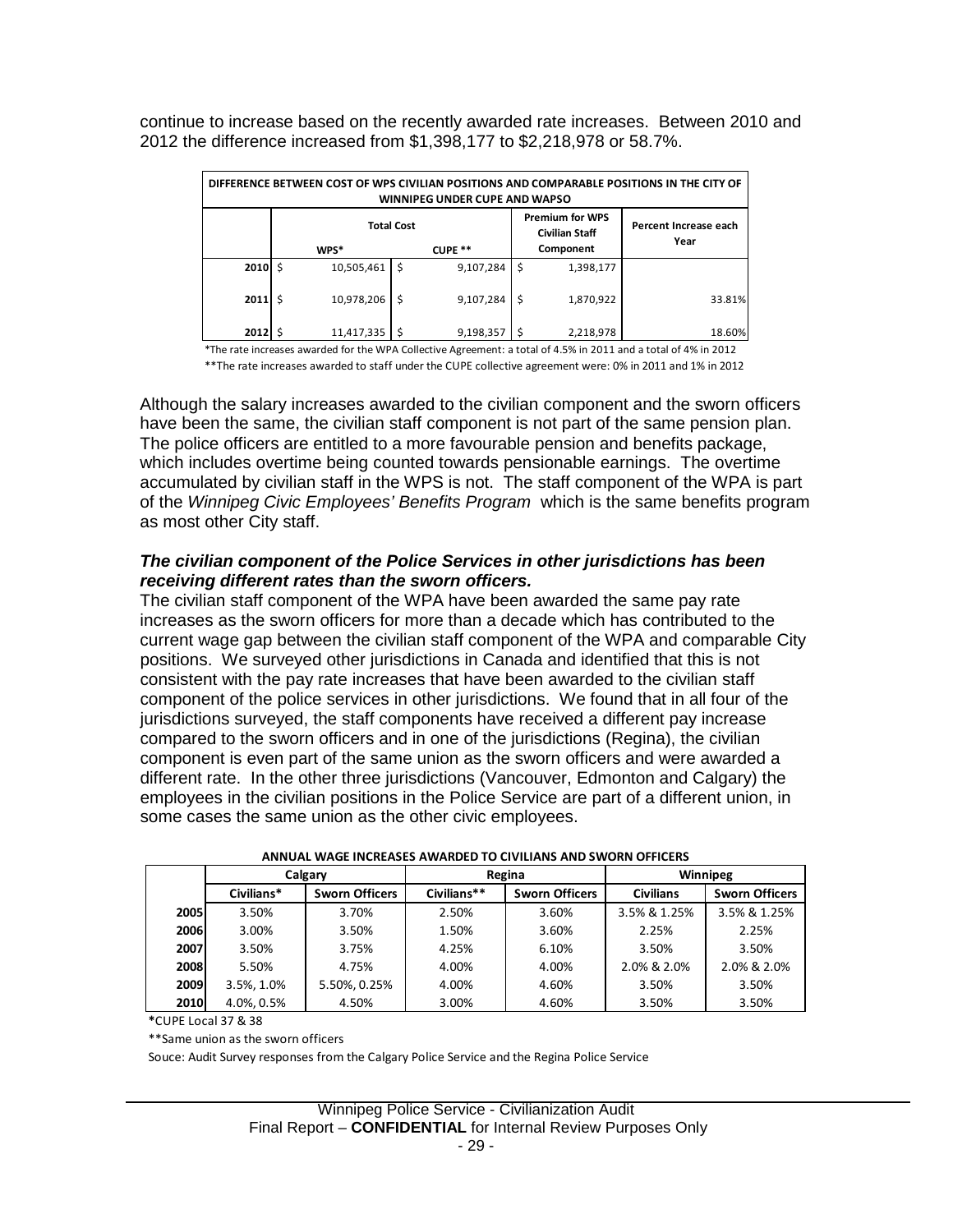continue to increase based on the recently awarded rate increases. Between 2010 and 2012 the difference increased from \$1,398,177 to \$2,218,978 or 58.7%.

|              | DIFFERENCE BETWEEN COST OF WPS CIVILIAN POSITIONS AND COMPARABLE POSITIONS IN THE CITY OF<br><b>WINNIPEG UNDER CUPE AND WAPSO</b> |                   |                                                 |                               |  |  |  |  |  |  |  |  |
|--------------|-----------------------------------------------------------------------------------------------------------------------------------|-------------------|-------------------------------------------------|-------------------------------|--|--|--|--|--|--|--|--|
|              |                                                                                                                                   | <b>Total Cost</b> | <b>Premium for WPS</b><br><b>Civilian Staff</b> | Percent Increase each<br>Year |  |  |  |  |  |  |  |  |
|              | WPS*                                                                                                                              | CUPE **           | Component                                       |                               |  |  |  |  |  |  |  |  |
| 2010         | Ś<br>10,505,461                                                                                                                   | Ŝ.<br>9,107,284   | \$<br>1,398,177                                 |                               |  |  |  |  |  |  |  |  |
| $2011 \,$ \$ | 10,978,206                                                                                                                        | 9,107,284<br>\$   | 1,870,922<br>-\$                                | 33.81%                        |  |  |  |  |  |  |  |  |
| 2012         | 11,417,335                                                                                                                        | 9,198,357         | 2,218,978                                       | 18.60%                        |  |  |  |  |  |  |  |  |

\*The rate increases awarded for the WPA Collective Agreement: a total of 4.5% in 2011 and a total of 4% in 2012 \*\*The rate increases awarded to staff under the CUPE collective agreement were: 0% in 2011 and 1% in 2012

Although the salary increases awarded to the civilian component and the sworn officers have been the same, the civilian staff component is not part of the same pension plan. The police officers are entitled to a more favourable pension and benefits package, which includes overtime being counted towards pensionable earnings. The overtime accumulated by civilian staff in the WPS is not. The staff component of the WPA is part of the *Winnipeg Civic Employees' Benefits Program* which is the same benefits program as most other City staff.

### *The civilian component of the Police Services in other jurisdictions has been receiving different rates than the sworn officers.*

The civilian staff component of the WPA have been awarded the same pay rate increases as the sworn officers for more than a decade which has contributed to the current wage gap between the civilian staff component of the WPA and comparable City positions. We surveyed other jurisdictions in Canada and identified that this is not consistent with the pay rate increases that have been awarded to the civilian staff component of the police services in other jurisdictions. We found that in all four of the jurisdictions surveyed, the staff components have received a different pay increase compared to the sworn officers and in one of the jurisdictions (Regina), the civilian component is even part of the same union as the sworn officers and were awarded a different rate. In the other three jurisdictions (Vancouver, Edmonton and Calgary) the employees in the civilian positions in the Police Service are part of a different union, in some cases the same union as the other civic employees.

|      | Calgary    |                       | Regina                               |       | Winnipeg         |                       |  |
|------|------------|-----------------------|--------------------------------------|-------|------------------|-----------------------|--|
|      | Civilians* | <b>Sworn Officers</b> | Civilians**<br><b>Sworn Officers</b> |       | <b>Civilians</b> | <b>Sworn Officers</b> |  |
| 2005 | 3.50%      | 3.70%                 | 2.50%                                | 3.60% | 3.5% & 1.25%     | 3.5% & 1.25%          |  |
| 2006 | 3.00%      | 3.50%                 | 1.50%                                | 3.60% | 2.25%            | 2.25%                 |  |
| 2007 | 3.50%      | 3.75%                 | 4.25%                                | 6.10% | 3.50%            | 3.50%                 |  |
| 2008 | 5.50%      | 4.75%                 | 4.00%                                | 4.00% | 2.0% & 2.0%      | 2.0% & 2.0%           |  |
| 2009 | 3.5%, 1.0% | 5.50%, 0.25%          | 4.00%                                | 4.60% | 3.50%            | 3.50%                 |  |
| 2010 | 4.0%, 0.5% | 4.50%                 | 3.00%                                | 4.60% | 3.50%            | 3.50%                 |  |

| ANNUAL WAGE INCREASES AWARDED TO CIVILIANS AND SWORN OFFICERS |  |  |
|---------------------------------------------------------------|--|--|
|                                                               |  |  |

**\***CUPE Local 37 & 38

\*\*Same union as the sworn officers

Souce: Audit Survey responses from the Calgary Police Service and the Regina Police Service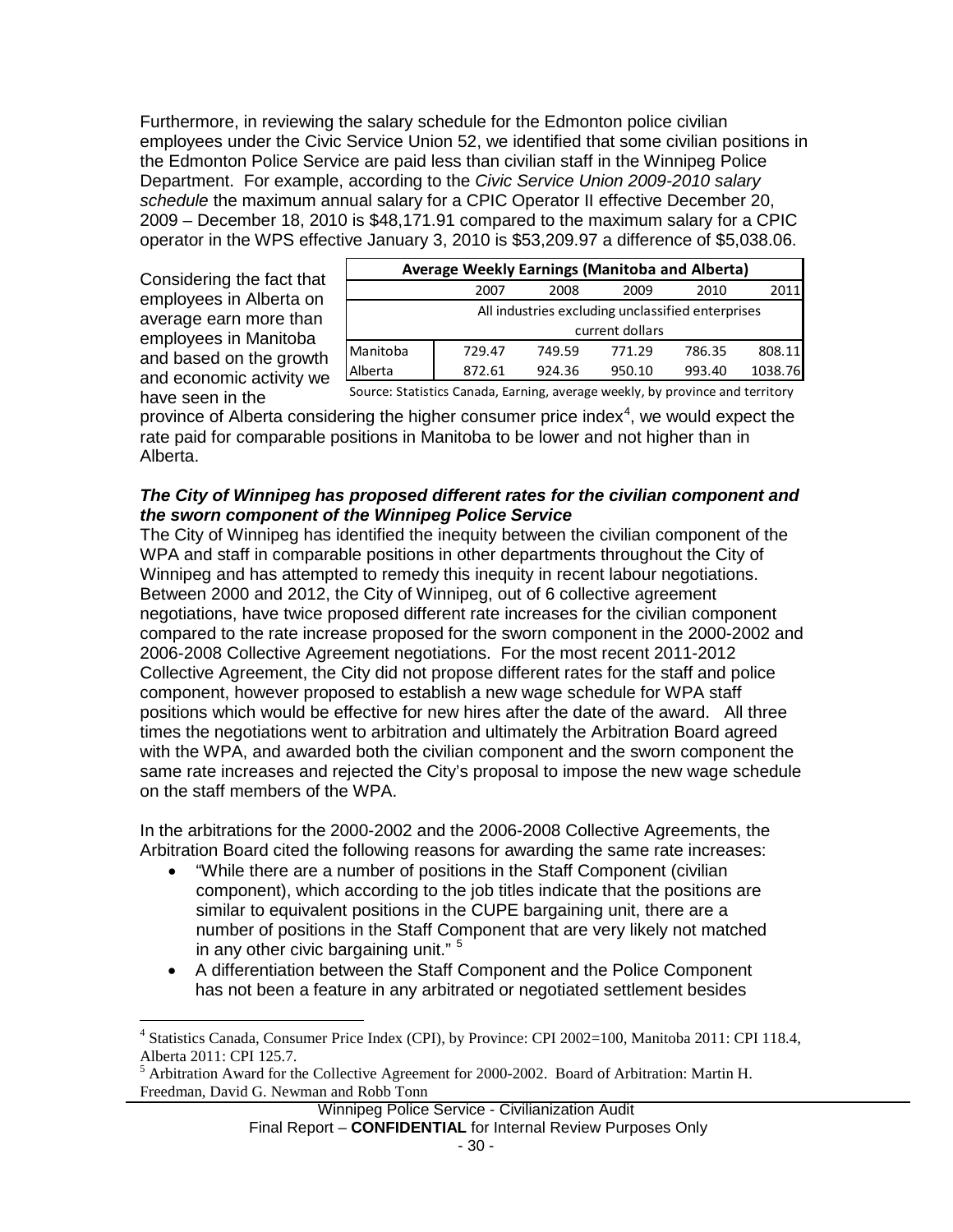Furthermore, in reviewing the salary schedule for the Edmonton police civilian employees under the Civic Service Union 52, we identified that some civilian positions in the Edmonton Police Service are paid less than civilian staff in the Winnipeg Police Department. For example, according to the *Civic Service Union 2009-2010 salary schedule* the maximum annual salary for a CPIC Operator II effective December 20, 2009 – December 18, 2010 is \$48,171.91 compared to the maximum salary for a CPIC operator in the WPS effective January 3, 2010 is \$53,209.97 a difference of \$5,038.06.

Considering the fact that employees in Alberta on average earn more than employees in Manitoba and based on the growth and economic activity we have seen in the

| Average Weekly Earnings (Manitoba and Alberta)    |        |        |                 |        |         |  |  |  |  |  |
|---------------------------------------------------|--------|--------|-----------------|--------|---------|--|--|--|--|--|
|                                                   | 2007   | 2008   | 2009            | 2010   | 2011    |  |  |  |  |  |
| All industries excluding unclassified enterprises |        |        |                 |        |         |  |  |  |  |  |
|                                                   |        |        | current dollars |        |         |  |  |  |  |  |
| Manitoba                                          | 729.47 | 749.59 | 771.29          | 786.35 | 808.11  |  |  |  |  |  |
| Alberta                                           | 872.61 | 924.36 | 950.10          | 993.40 | 1038.76 |  |  |  |  |  |
|                                                   |        |        |                 |        |         |  |  |  |  |  |

Source: Statistics Canada, Earning, average weekly, by province and territory

province of Alberta considering the higher consumer price index<sup>[4](#page-29-0)</sup>, we would expect the rate paid for comparable positions in Manitoba to be lower and not higher than in Alberta.

## *The City of Winnipeg has proposed different rates for the civilian component and the sworn component of the Winnipeg Police Service*

The City of Winnipeg has identified the inequity between the civilian component of the WPA and staff in comparable positions in other departments throughout the City of Winnipeg and has attempted to remedy this inequity in recent labour negotiations. Between 2000 and 2012, the City of Winnipeg, out of 6 collective agreement negotiations, have twice proposed different rate increases for the civilian component compared to the rate increase proposed for the sworn component in the 2000-2002 and 2006-2008 Collective Agreement negotiations. For the most recent 2011-2012 Collective Agreement, the City did not propose different rates for the staff and police component, however proposed to establish a new wage schedule for WPA staff positions which would be effective for new hires after the date of the award. All three times the negotiations went to arbitration and ultimately the Arbitration Board agreed with the WPA, and awarded both the civilian component and the sworn component the same rate increases and rejected the City's proposal to impose the new wage schedule on the staff members of the WPA.

In the arbitrations for the 2000-2002 and the 2006-2008 Collective Agreements, the Arbitration Board cited the following reasons for awarding the same rate increases:

- "While there are a number of positions in the Staff Component (civilian component), which according to the job titles indicate that the positions are similar to equivalent positions in the CUPE bargaining unit, there are a number of positions in the Staff Component that are very likely not matched in any other civic bargaining unit." <sup>[5](#page-31-0)</sup>
- A differentiation between the Staff Component and the Police Component has not been a feature in any arbitrated or negotiated settlement besides

 <sup>4</sup> Statistics Canada, Consumer Price Index (CPI), by Province: CPI 2002=100, Manitoba 2011: CPI 118.4, Alberta 2011: CPI 125.7.

<span id="page-31-1"></span><span id="page-31-0"></span><sup>5</sup> Arbitration Award for the Collective Agreement for 2000-2002. Board of Arbitration: Martin H. Freedman, David G. Newman and Robb Tonn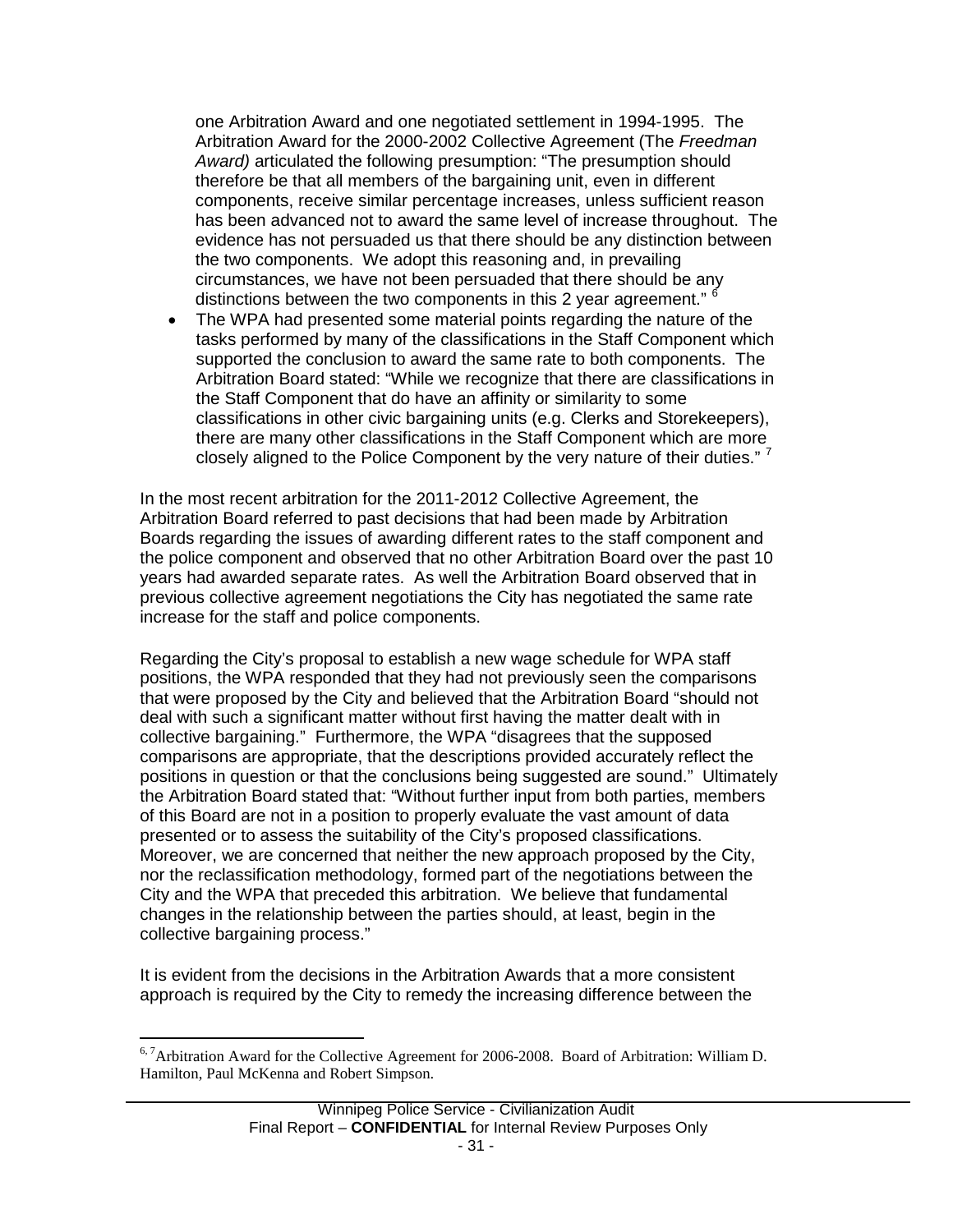one Arbitration Award and one negotiated settlement in 1994-1995. The Arbitration Award for the 2000-2002 Collective Agreement (The *Freedman Award)* articulated the following presumption: "The presumption should therefore be that all members of the bargaining unit, even in different components, receive similar percentage increases, unless sufficient reason has been advanced not to award the same level of increase throughout. The evidence has not persuaded us that there should be any distinction between the two components. We adopt this reasoning and, in prevailing circumstances, we have not been persuaded that there should be any distinctions between the two components in this 2 year agreement." <sup>[6](#page-31-1)</sup>

• The WPA had presented some material points regarding the nature of the tasks performed by many of the classifications in the Staff Component which supported the conclusion to award the same rate to both components. The Arbitration Board stated: "While we recognize that there are classifications in the Staff Component that do have an affinity or similarity to some classifications in other civic bargaining units (e.g. Clerks and Storekeepers), there are many other classifications in the Staff Component which are more closely aligned to the Police Component by the very nature of their duties." <sup>[7](#page-32-0)</sup>

In the most recent arbitration for the 2011-2012 Collective Agreement, the Arbitration Board referred to past decisions that had been made by Arbitration Boards regarding the issues of awarding different rates to the staff component and the police component and observed that no other Arbitration Board over the past 10 years had awarded separate rates. As well the Arbitration Board observed that in previous collective agreement negotiations the City has negotiated the same rate increase for the staff and police components.

Regarding the City's proposal to establish a new wage schedule for WPA staff positions, the WPA responded that they had not previously seen the comparisons that were proposed by the City and believed that the Arbitration Board "should not deal with such a significant matter without first having the matter dealt with in collective bargaining." Furthermore, the WPA "disagrees that the supposed comparisons are appropriate, that the descriptions provided accurately reflect the positions in question or that the conclusions being suggested are sound." Ultimately the Arbitration Board stated that: "Without further input from both parties, members of this Board are not in a position to properly evaluate the vast amount of data presented or to assess the suitability of the City's proposed classifications. Moreover, we are concerned that neither the new approach proposed by the City, nor the reclassification methodology, formed part of the negotiations between the City and the WPA that preceded this arbitration. We believe that fundamental changes in the relationship between the parties should, at least, begin in the collective bargaining process."

It is evident from the decisions in the Arbitration Awards that a more consistent approach is required by the City to remedy the increasing difference between the

<span id="page-32-1"></span><span id="page-32-0"></span><sup>&</sup>lt;sup>6, 7</sup>Arbitration Award for the Collective Agreement for 2006-2008. Board of Arbitration: William D. Hamilton, Paul McKenna and Robert Simpson.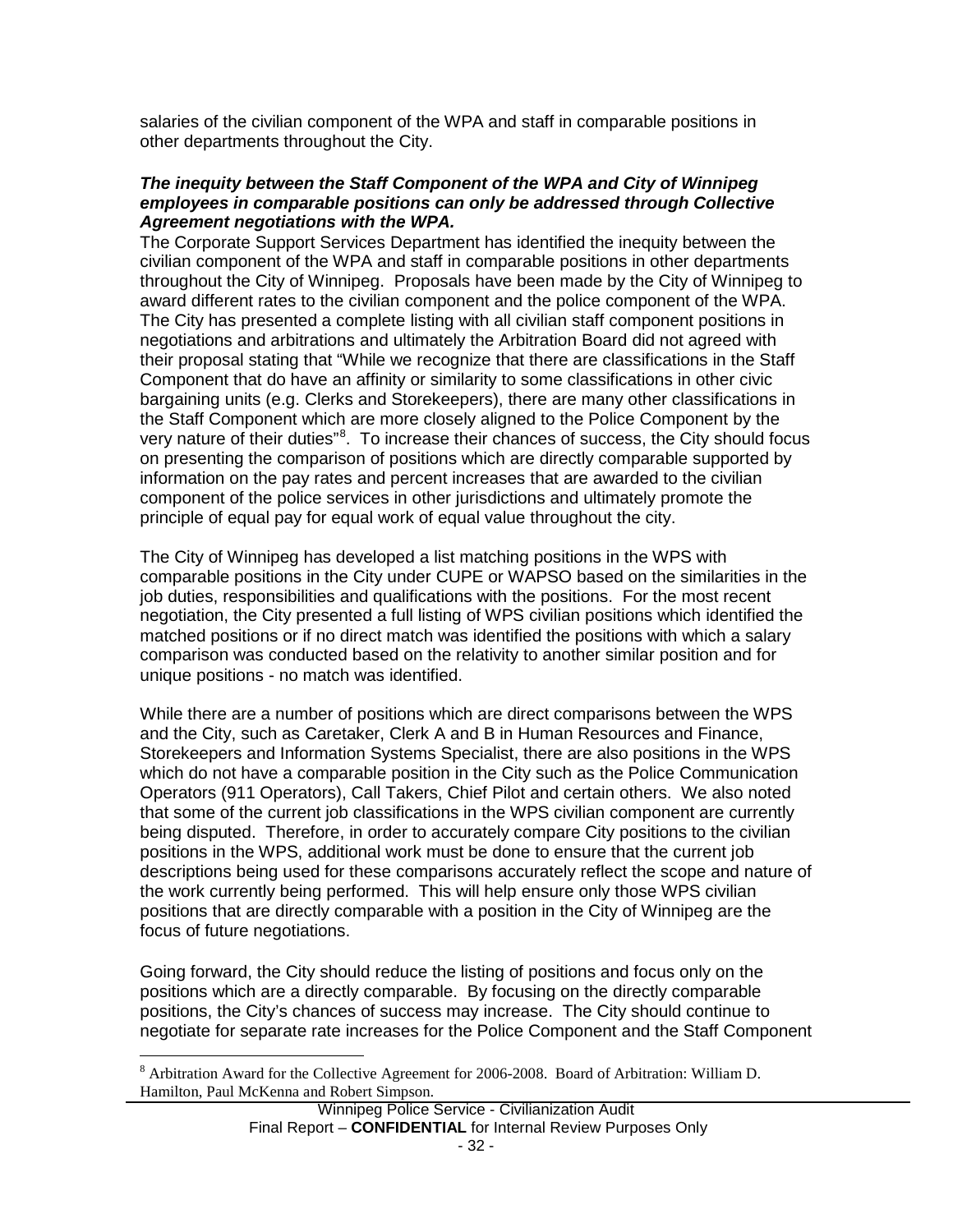salaries of the civilian component of the WPA and staff in comparable positions in other departments throughout the City.

### *The inequity between the Staff Component of the WPA and City of Winnipeg employees in comparable positions can only be addressed through Collective Agreement negotiations with the WPA.*

The Corporate Support Services Department has identified the inequity between the civilian component of the WPA and staff in comparable positions in other departments throughout the City of Winnipeg. Proposals have been made by the City of Winnipeg to award different rates to the civilian component and the police component of the WPA. The City has presented a complete listing with all civilian staff component positions in negotiations and arbitrations and ultimately the Arbitration Board did not agreed with their proposal stating that "While we recognize that there are classifications in the Staff Component that do have an affinity or similarity to some classifications in other civic bargaining units (e.g. Clerks and Storekeepers), there are many other classifications in the Staff Component which are more closely aligned to the Police Component by the very nature of their duties"<sup>[8](#page-32-1)</sup>. To increase their chances of success, the City should focus on presenting the comparison of positions which are directly comparable supported by information on the pay rates and percent increases that are awarded to the civilian component of the police services in other jurisdictions and ultimately promote the principle of equal pay for equal work of equal value throughout the city.

The City of Winnipeg has developed a list matching positions in the WPS with comparable positions in the City under CUPE or WAPSO based on the similarities in the job duties, responsibilities and qualifications with the positions. For the most recent negotiation, the City presented a full listing of WPS civilian positions which identified the matched positions or if no direct match was identified the positions with which a salary comparison was conducted based on the relativity to another similar position and for unique positions - no match was identified.

While there are a number of positions which are direct comparisons between the WPS and the City, such as Caretaker, Clerk A and B in Human Resources and Finance, Storekeepers and Information Systems Specialist, there are also positions in the WPS which do not have a comparable position in the City such as the Police Communication Operators (911 Operators), Call Takers, Chief Pilot and certain others. We also noted that some of the current job classifications in the WPS civilian component are currently being disputed. Therefore, in order to accurately compare City positions to the civilian positions in the WPS, additional work must be done to ensure that the current job descriptions being used for these comparisons accurately reflect the scope and nature of the work currently being performed. This will help ensure only those WPS civilian positions that are directly comparable with a position in the City of Winnipeg are the focus of future negotiations.

Going forward, the City should reduce the listing of positions and focus only on the positions which are a directly comparable. By focusing on the directly comparable positions, the City's chances of success may increase. The City should continue to negotiate for separate rate increases for the Police Component and the Staff Component

 <sup>8</sup> Arbitration Award for the Collective Agreement for 2006-2008. Board of Arbitration: William D. Hamilton, Paul McKenna and Robert Simpson.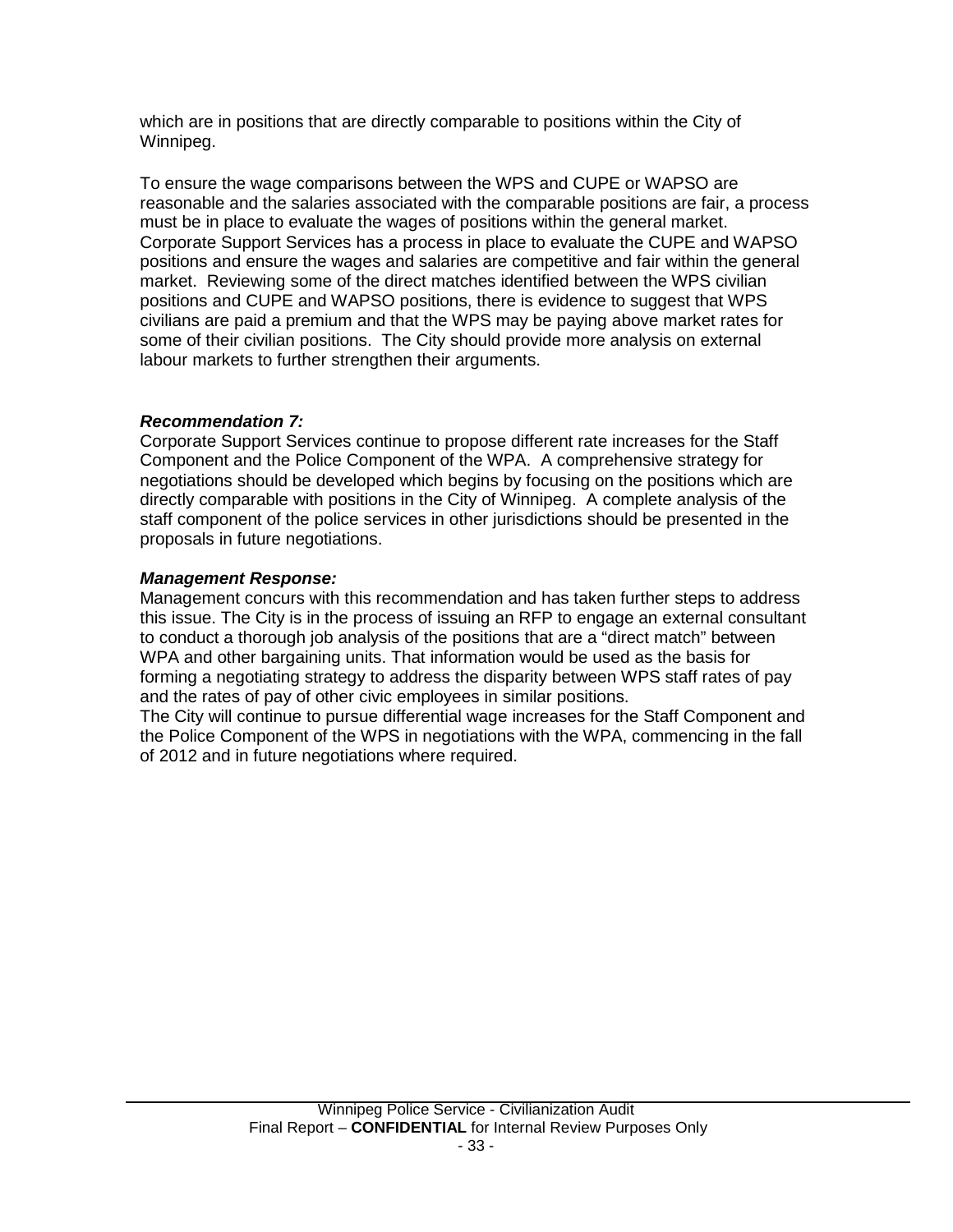which are in positions that are directly comparable to positions within the City of Winnipeg.

To ensure the wage comparisons between the WPS and CUPE or WAPSO are reasonable and the salaries associated with the comparable positions are fair, a process must be in place to evaluate the wages of positions within the general market. Corporate Support Services has a process in place to evaluate the CUPE and WAPSO positions and ensure the wages and salaries are competitive and fair within the general market. Reviewing some of the direct matches identified between the WPS civilian positions and CUPE and WAPSO positions, there is evidence to suggest that WPS civilians are paid a premium and that the WPS may be paying above market rates for some of their civilian positions. The City should provide more analysis on external labour markets to further strengthen their arguments.

## *Recommendation 7:*

Corporate Support Services continue to propose different rate increases for the Staff Component and the Police Component of the WPA. A comprehensive strategy for negotiations should be developed which begins by focusing on the positions which are directly comparable with positions in the City of Winnipeg. A complete analysis of the staff component of the police services in other jurisdictions should be presented in the proposals in future negotiations.

## *Management Response:*

Management concurs with this recommendation and has taken further steps to address this issue. The City is in the process of issuing an RFP to engage an external consultant to conduct a thorough job analysis of the positions that are a "direct match" between WPA and other bargaining units. That information would be used as the basis for forming a negotiating strategy to address the disparity between WPS staff rates of pay and the rates of pay of other civic employees in similar positions.

The City will continue to pursue differential wage increases for the Staff Component and the Police Component of the WPS in negotiations with the WPA, commencing in the fall of 2012 and in future negotiations where required.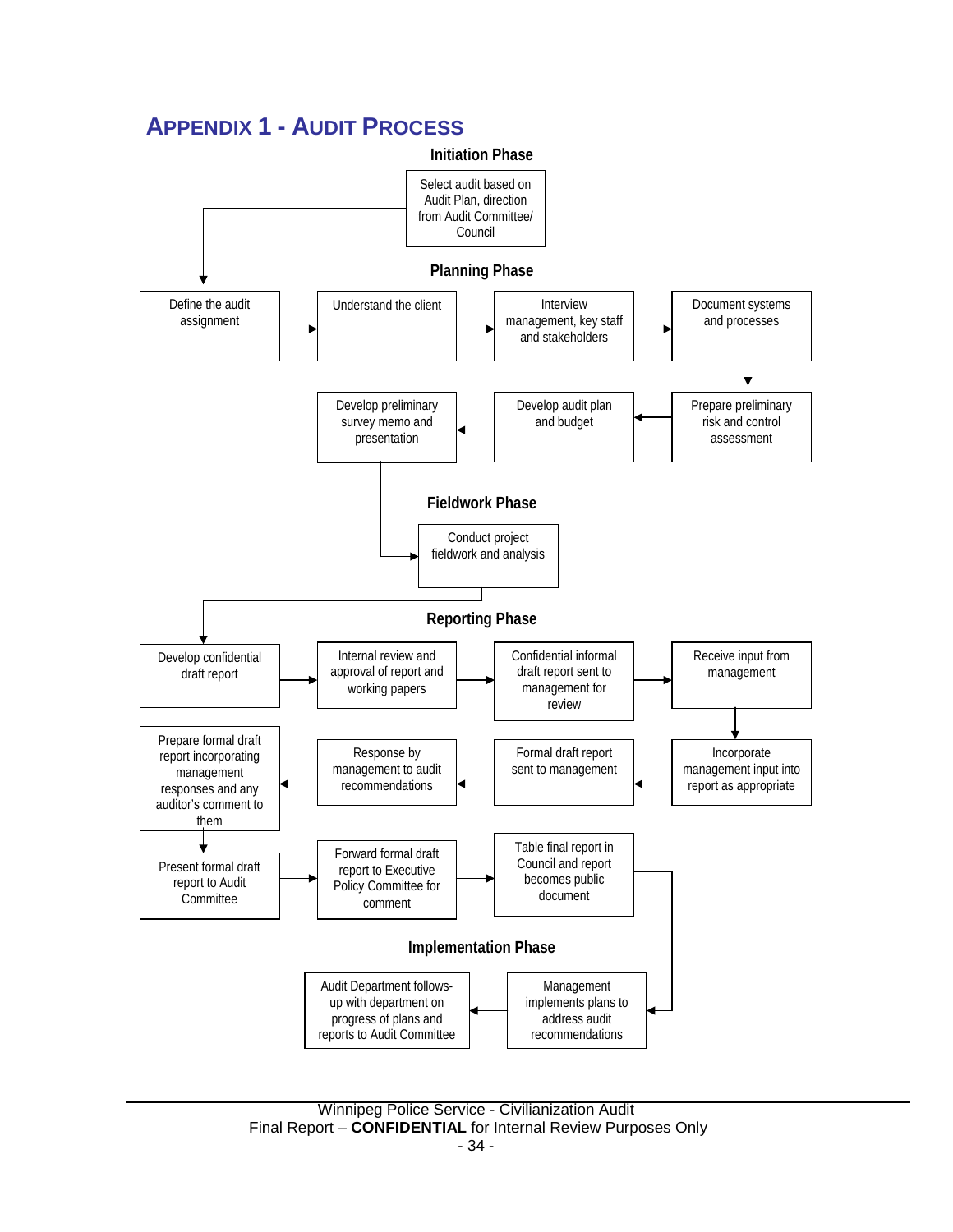## <span id="page-35-0"></span>**APPENDIX 1 - AUDIT PROCESS**

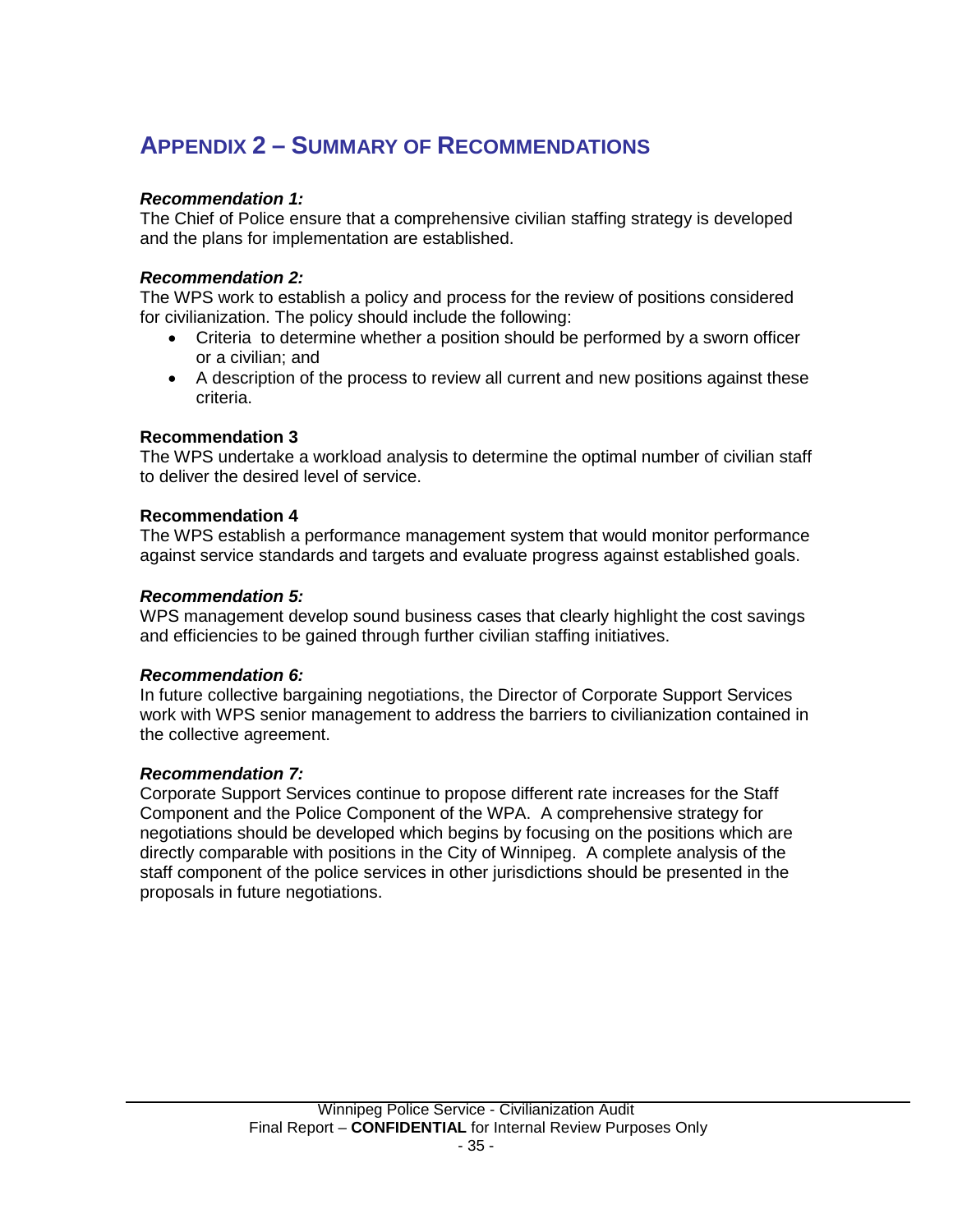# <span id="page-36-0"></span>**APPENDIX 2 – SUMMARY OF RECOMMENDATIONS**

## *Recommendation 1:*

The Chief of Police ensure that a comprehensive civilian staffing strategy is developed and the plans for implementation are established.

## *Recommendation 2:*

The WPS work to establish a policy and process for the review of positions considered for civilianization. The policy should include the following:

- Criteria to determine whether a position should be performed by a sworn officer or a civilian; and
- A description of the process to review all current and new positions against these criteria.

## **Recommendation 3**

The WPS undertake a workload analysis to determine the optimal number of civilian staff to deliver the desired level of service.

## **Recommendation 4**

The WPS establish a performance management system that would monitor performance against service standards and targets and evaluate progress against established goals.

## *Recommendation 5:*

WPS management develop sound business cases that clearly highlight the cost savings and efficiencies to be gained through further civilian staffing initiatives.

## *Recommendation 6:*

In future collective bargaining negotiations, the Director of Corporate Support Services work with WPS senior management to address the barriers to civilianization contained in the collective agreement.

## *Recommendation 7:*

Corporate Support Services continue to propose different rate increases for the Staff Component and the Police Component of the WPA. A comprehensive strategy for negotiations should be developed which begins by focusing on the positions which are directly comparable with positions in the City of Winnipeg. A complete analysis of the staff component of the police services in other jurisdictions should be presented in the proposals in future negotiations.